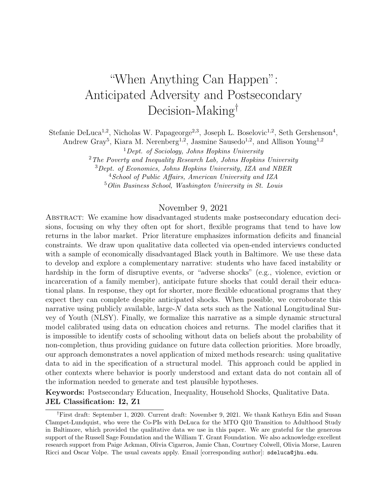# "When Anything Can Happen": Anticipated Adversity and Postsecondary Decision-Making†

Stefanie DeLuca<sup>1,2</sup>, Nicholas W. Papageorge<sup>2,3</sup>, Joseph L. Boselovic<sup>1,2</sup>, Seth Gershenson<sup>4</sup>,

Andrew Gray<sup>5</sup>, Kiara M. Nerenberg<sup>1,2</sup>, Jasmine Sausedo<sup>1,2</sup>, and Allison Young<sup>1,2</sup>

 $1$  Dept. of Sociology, Johns Hopkins University

 $2$  The Poverty and Inequality Research Lab, Johns Hopkins University

<sup>3</sup>Dept. of Economics, Johns Hopkins University, IZA and NBER

<sup>4</sup>School of Public Affairs, American University and IZA

<sup>5</sup>Olin Business School, Washington University in St. Louis

### November 9, 2021

Abstract: We examine how disadvantaged students make postsecondary education decisions, focusing on why they often opt for short, flexible programs that tend to have low returns in the labor market. Prior literature emphasizes information deficits and financial constraints. We draw upon qualitative data collected via open-ended interviews conducted with a sample of economically disadvantaged Black youth in Baltimore. We use these data to develop and explore a complementary narrative: students who have faced instability or hardship in the form of disruptive events, or "adverse shocks" (e.g., violence, eviction or incarceration of a family member), anticipate future shocks that could derail their educational plans. In response, they opt for shorter, more flexible educational programs that they expect they can complete despite anticipated shocks. When possible, we corroborate this narrative using publicly available, large- $N$  data sets such as the National Longitudinal Survey of Youth (NLSY). Finally, we formalize this narrative as a simple dynamic structural model calibrated using data on education choices and returns. The model clarifies that it is impossible to identify costs of schooling without data on beliefs about the probability of non-completion, thus providing guidance on future data collection priorities. More broadly, our approach demonstrates a novel application of mixed methods research: using qualitative data to aid in the specification of a structural model. This approach could be applied in other contexts where behavior is poorly understood and extant data do not contain all of the information needed to generate and test plausible hypotheses.

Keywords: Postsecondary Education, Inequality, Household Shocks, Qualitative Data. JEL Classification: I2, Z1

<sup>†</sup>First draft: September 1, 2020. Current draft: November 9, 2021. We thank Kathryn Edin and Susan Clampet-Lundquist, who were the Co-PIs with DeLuca for the MTO Q10 Transition to Adulthood Study in Baltimore, which provided the qualitative data we use in this paper. We are grateful for the generous support of the Russell Sage Foundation and the William T. Grant Foundation. We also acknowledge excellent research support from Paige Ackman, Olivia Cigarroa, Jamie Chan, Courtney Colwell, Olivia Morse, Lauren Ricci and Oscar Volpe. The usual caveats apply. Email [corresponding author]: sdeluca@jhu.edu.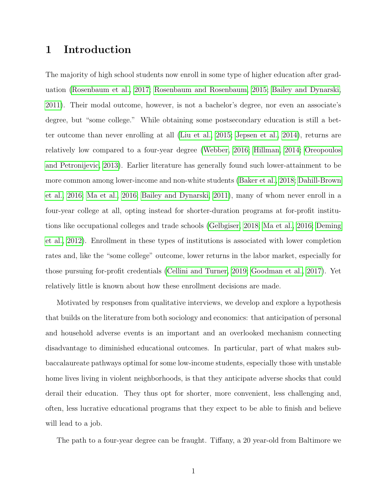# 1 Introduction

The majority of high school students now enroll in some type of higher education after graduation [\(Rosenbaum et al., 2017;](#page-41-0) [Rosenbaum and Rosenbaum, 2015;](#page-41-1) [Bailey and Dynarski,](#page-37-0) [2011\)](#page-37-0). Their modal outcome, however, is not a bachelor's degree, nor even an associate's degree, but "some college." While obtaining some postsecondary education is still a better outcome than never enrolling at all [\(Liu et al., 2015;](#page-40-0) [Jepsen et al., 2014\)](#page-40-1), returns are relatively low compared to a four-year degree [\(Webber, 2016;](#page-42-0) [Hillman, 2014;](#page-39-0) [Oreopoulos](#page-41-2) [and Petronijevic, 2013\)](#page-41-2). Earlier literature has generally found such lower-attainment to be more common among lower-income and non-white students [\(Baker et al., 2018;](#page-37-1) [Dahill-Brown](#page-38-0) [et al., 2016;](#page-38-0) [Ma et al., 2016;](#page-40-2) [Bailey and Dynarski, 2011\)](#page-37-0), many of whom never enroll in a four-year college at all, opting instead for shorter-duration programs at for-profit institutions like occupational colleges and trade schools [\(Gelbgiser, 2018;](#page-39-1) [Ma et al., 2016;](#page-40-2) [Deming](#page-38-1) [et al., 2012\)](#page-38-1). Enrollment in these types of institutions is associated with lower completion rates and, like the "some college" outcome, lower returns in the labor market, especially for those pursuing for-profit credentials [\(Cellini and Turner, 2019;](#page-38-2) [Goodman et al., 2017\)](#page-39-2). Yet relatively little is known about how these enrollment decisions are made.

Motivated by responses from qualitative interviews, we develop and explore a hypothesis that builds on the literature from both sociology and economics: that anticipation of personal and household adverse events is an important and an overlooked mechanism connecting disadvantage to diminished educational outcomes. In particular, part of what makes subbaccalaureate pathways optimal for some low-income students, especially those with unstable home lives living in violent neighborhoods, is that they anticipate adverse shocks that could derail their education. They thus opt for shorter, more convenient, less challenging and, often, less lucrative educational programs that they expect to be able to finish and believe will lead to a job.

The path to a four-year degree can be fraught. Tiffany, a 20 year-old from Baltimore we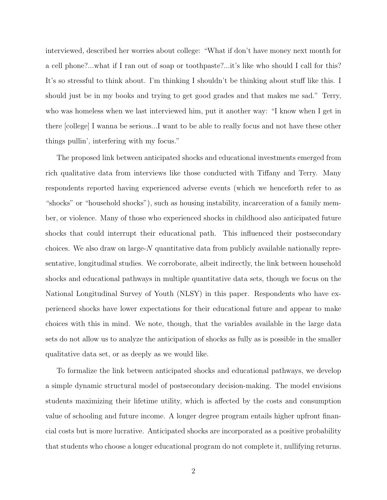interviewed, described her worries about college: "What if don't have money next month for a cell phone?...what if I ran out of soap or toothpaste?...it's like who should I call for this? It's so stressful to think about. I'm thinking I shouldn't be thinking about stuff like this. I should just be in my books and trying to get good grades and that makes me sad." Terry, who was homeless when we last interviewed him, put it another way: "I know when I get in there [college] I wanna be serious...I want to be able to really focus and not have these other things pullin', interfering with my focus."

The proposed link between anticipated shocks and educational investments emerged from rich qualitative data from interviews like those conducted with Tiffany and Terry. Many respondents reported having experienced adverse events (which we henceforth refer to as "shocks" or "household shocks"), such as housing instability, incarceration of a family member, or violence. Many of those who experienced shocks in childhood also anticipated future shocks that could interrupt their educational path. This influenced their postsecondary choices. We also draw on large-N quantitative data from publicly available nationally representative, longitudinal studies. We corroborate, albeit indirectly, the link between household shocks and educational pathways in multiple quantitative data sets, though we focus on the National Longitudinal Survey of Youth (NLSY) in this paper. Respondents who have experienced shocks have lower expectations for their educational future and appear to make choices with this in mind. We note, though, that the variables available in the large data sets do not allow us to analyze the anticipation of shocks as fully as is possible in the smaller qualitative data set, or as deeply as we would like.

To formalize the link between anticipated shocks and educational pathways, we develop a simple dynamic structural model of postsecondary decision-making. The model envisions students maximizing their lifetime utility, which is affected by the costs and consumption value of schooling and future income. A longer degree program entails higher upfront financial costs but is more lucrative. Anticipated shocks are incorporated as a positive probability that students who choose a longer educational program do not complete it, nullifying returns.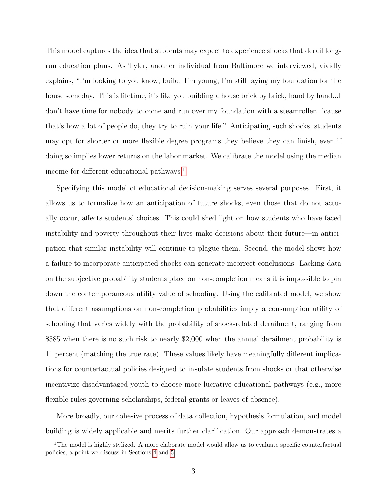This model captures the idea that students may expect to experience shocks that derail longrun education plans. As Tyler, another individual from Baltimore we interviewed, vividly explains, "I'm looking to you know, build. I'm young, I'm still laying my foundation for the house someday. This is lifetime, it's like you building a house brick by brick, hand by hand... don't have time for nobody to come and run over my foundation with a steamroller...'cause that's how a lot of people do, they try to ruin your life." Anticipating such shocks, students may opt for shorter or more flexible degree programs they believe they can finish, even if doing so implies lower returns on the labor market. We calibrate the model using the median income for different educational pathways.<sup>[1](#page-3-0)</sup>

Specifying this model of educational decision-making serves several purposes. First, it allows us to formalize how an anticipation of future shocks, even those that do not actually occur, affects students' choices. This could shed light on how students who have faced instability and poverty throughout their lives make decisions about their future—in anticipation that similar instability will continue to plague them. Second, the model shows how a failure to incorporate anticipated shocks can generate incorrect conclusions. Lacking data on the subjective probability students place on non-completion means it is impossible to pin down the contemporaneous utility value of schooling. Using the calibrated model, we show that different assumptions on non-completion probabilities imply a consumption utility of schooling that varies widely with the probability of shock-related derailment, ranging from \$585 when there is no such risk to nearly \$2,000 when the annual derailment probability is 11 percent (matching the true rate). These values likely have meaningfully different implications for counterfactual policies designed to insulate students from shocks or that otherwise incentivize disadvantaged youth to choose more lucrative educational pathways (e.g., more flexible rules governing scholarships, federal grants or leaves-of-absence).

More broadly, our cohesive process of data collection, hypothesis formulation, and model building is widely applicable and merits further clarification. Our approach demonstrates a

<span id="page-3-0"></span><sup>&</sup>lt;sup>1</sup>The model is highly stylized. A more elaborate model would allow us to evaluate specific counterfactual policies, a point we discuss in Sections [4](#page-29-0) and [5.](#page-35-0)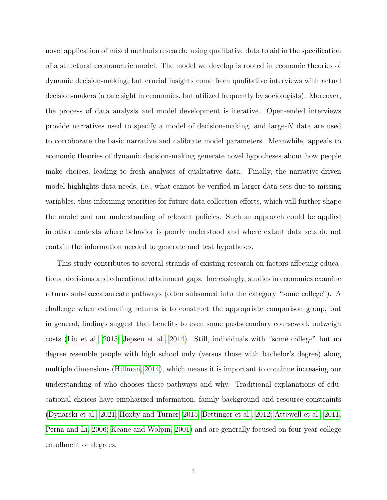novel application of mixed methods research: using qualitative data to aid in the specification of a structural econometric model. The model we develop is rooted in economic theories of dynamic decision-making, but crucial insights come from qualitative interviews with actual decision-makers (a rare sight in economics, but utilized frequently by sociologists). Moreover, the process of data analysis and model development is iterative. Open-ended interviews provide narratives used to specify a model of decision-making, and large- $N$  data are used to corroborate the basic narrative and calibrate model parameters. Meanwhile, appeals to economic theories of dynamic decision-making generate novel hypotheses about how people make choices, leading to fresh analyses of qualitative data. Finally, the narrative-driven model highlights data needs, i.e., what cannot be verified in larger data sets due to missing variables, thus informing priorities for future data collection efforts, which will further shape the model and our understanding of relevant policies. Such an approach could be applied in other contexts where behavior is poorly understood and where extant data sets do not contain the information needed to generate and test hypotheses.

This study contributes to several strands of existing research on factors affecting educational decisions and educational attainment gaps. Increasingly, studies in economics examine returns sub-baccalaureate pathways (often subsumed into the category "some college"). A challenge when estimating returns is to construct the appropriate comparison group, but in general, findings suggest that benefits to even some postsecondary coursework outweigh costs [\(Liu et al., 2015;](#page-40-0) [Jepsen et al., 2014\)](#page-40-1). Still, individuals with "some college" but no degree resemble people with high school only (versus those with bachelor's degree) along multiple dimensions [\(Hillman, 2014\)](#page-39-0), which means it is important to continue increasing our understanding of who chooses these pathways and why. Traditional explanations of educational choices have emphasized information, family background and resource constraints [\(Dynarski et al., 2021;](#page-38-3) [Hoxby and Turner, 2015;](#page-39-3) [Bettinger et al., 2012;](#page-37-2) [Attewell et al., 2011;](#page-37-3) [Perna and Li, 2006;](#page-41-3) [Keane and Wolpin, 2001\)](#page-40-3) and are generally focused on four-year college enrollment or degrees.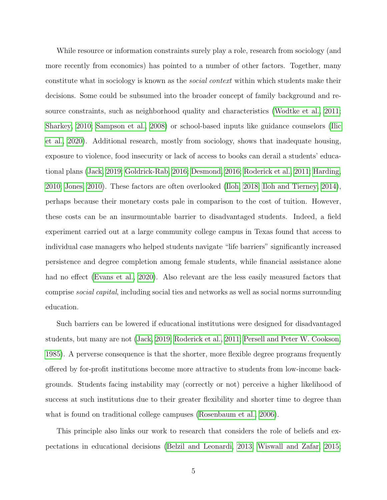While resource or information constraints surely play a role, research from sociology (and more recently from economics) has pointed to a number of other factors. Together, many constitute what in sociology is known as the social context within which students make their decisions. Some could be subsumed into the broader concept of family background and resource constraints, such as neighborhood quality and characteristics [\(Wodtke et al., 2011;](#page-42-1) [Sharkey, 2010;](#page-42-2) [Sampson et al., 2008\)](#page-42-3) or school-based inputs like guidance counselors [\(Ilic](#page-39-4) [et al., 2020\)](#page-39-4). Additional research, mostly from sociology, shows that inadequate housing, exposure to violence, food insecurity or lack of access to books can derail a students' educational plans [\(Jack, 2019;](#page-40-4) [Goldrick-Rab, 2016;](#page-39-5) [Desmond, 2016;](#page-38-4) [Roderick et al., 2011;](#page-41-4) [Harding,](#page-39-6) [2010;](#page-39-6) [Jones, 2010\)](#page-40-5). These factors are often overlooked [\(Iloh, 2018;](#page-39-7) [Iloh and Tierney, 2014\)](#page-39-8), perhaps because their monetary costs pale in comparison to the cost of tuition. However, these costs can be an insurmountable barrier to disadvantaged students. Indeed, a field experiment carried out at a large community college campus in Texas found that access to individual case managers who helped students navigate "life barriers" significantly increased persistence and degree completion among female students, while financial assistance alone had no effect [\(Evans et al., 2020\)](#page-39-9). Also relevant are the less easily measured factors that comprise social capital, including social ties and networks as well as social norms surrounding education.

Such barriers can be lowered if educational institutions were designed for disadvantaged students, but many are not [\(Jack, 2019;](#page-40-4) [Roderick et al., 2011;](#page-41-4) [Persell and Peter W. Cookson,](#page-41-5) [1985\)](#page-41-5). A perverse consequence is that the shorter, more flexible degree programs frequently offered by for-profit institutions become more attractive to students from low-income backgrounds. Students facing instability may (correctly or not) perceive a higher likelihood of success at such institutions due to their greater flexibility and shorter time to degree than what is found on traditional college campuses [\(Rosenbaum et al., 2006\)](#page-41-6).

This principle also links our work to research that considers the role of beliefs and expectations in educational decisions [\(Belzil and Leonardi, 2013;](#page-37-4) [Wiswall and Zafar, 2015;](#page-42-4)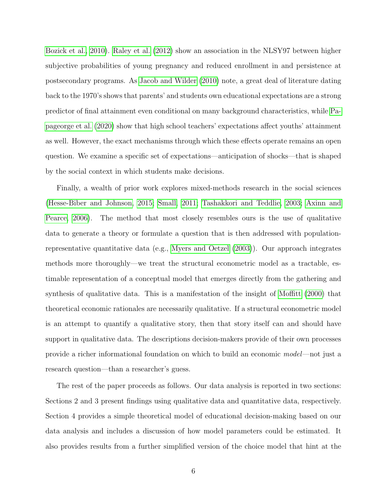[Bozick et al., 2010\)](#page-38-5). [Raley et al.](#page-41-7) [\(2012\)](#page-41-7) show an association in the NLSY97 between higher subjective probabilities of young pregnancy and reduced enrollment in and persistence at postsecondary programs. As [Jacob and Wilder](#page-40-6) [\(2010\)](#page-40-6) note, a great deal of literature dating back to the 1970's shows that parents' and students own educational expectations are a strong predictor of final attainment even conditional on many background characteristics, while [Pa](#page-41-8)[pageorge et al.](#page-41-8) [\(2020\)](#page-41-8) show that high school teachers' expectations affect youths' attainment as well. However, the exact mechanisms through which these effects operate remains an open question. We examine a specific set of expectations—anticipation of shocks—that is shaped by the social context in which students make decisions.

Finally, a wealth of prior work explores mixed-methods research in the social sciences [\(Hesse-Biber and Johnson, 2015;](#page-39-10) [Small, 2011;](#page-42-5) [Tashakkori and Teddlie, 2003;](#page-42-6) [Axinn and](#page-37-5) [Pearce, 2006\)](#page-37-5). The method that most closely resembles ours is the use of qualitative data to generate a theory or formulate a question that is then addressed with populationrepresentative quantitative data (e.g., [Myers and Oetzel](#page-41-9) [\(2003\)](#page-41-9)). Our approach integrates methods more thoroughly—we treat the structural econometric model as a tractable, estimable representation of a conceptual model that emerges directly from the gathering and synthesis of qualitative data. This is a manifestation of the insight of [Moffitt](#page-40-7) [\(2000\)](#page-40-7) that theoretical economic rationales are necessarily qualitative. If a structural econometric model is an attempt to quantify a qualitative story, then that story itself can and should have support in qualitative data. The descriptions decision-makers provide of their own processes provide a richer informational foundation on which to build an economic model—not just a research question—than a researcher's guess.

The rest of the paper proceeds as follows. Our data analysis is reported in two sections: Sections 2 and 3 present findings using qualitative data and quantitative data, respectively. Section 4 provides a simple theoretical model of educational decision-making based on our data analysis and includes a discussion of how model parameters could be estimated. It also provides results from a further simplified version of the choice model that hint at the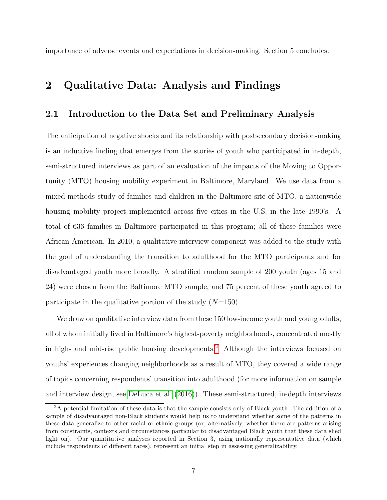importance of adverse events and expectations in decision-making. Section 5 concludes.

# 2 Qualitative Data: Analysis and Findings

### 2.1 Introduction to the Data Set and Preliminary Analysis

The anticipation of negative shocks and its relationship with postsecondary decision-making is an inductive finding that emerges from the stories of youth who participated in in-depth, semi-structured interviews as part of an evaluation of the impacts of the Moving to Opportunity (MTO) housing mobility experiment in Baltimore, Maryland. We use data from a mixed-methods study of families and children in the Baltimore site of MTO, a nationwide housing mobility project implemented across five cities in the U.S. in the late 1990's. A total of 636 families in Baltimore participated in this program; all of these families were African-American. In 2010, a qualitative interview component was added to the study with the goal of understanding the transition to adulthood for the MTO participants and for disadvantaged youth more broadly. A stratified random sample of 200 youth (ages 15 and 24) were chosen from the Baltimore MTO sample, and 75 percent of these youth agreed to participate in the qualitative portion of the study  $(N=150)$ .

We draw on qualitative interview data from these 150 low-income youth and young adults, all of whom initially lived in Baltimore's highest-poverty neighborhoods, concentrated mostly in high- and mid-rise public housing developments.[2](#page-7-0) Although the interviews focused on youths' experiences changing neighborhoods as a result of MTO, they covered a wide range of topics concerning respondents' transition into adulthood (for more information on sample and interview design, see [DeLuca et al.](#page-38-6) [\(2016\)](#page-38-6)). These semi-structured, in-depth interviews

<span id="page-7-0"></span><sup>2</sup>A potential limitation of these data is that the sample consists only of Black youth. The addition of a sample of disadvantaged non-Black students would help us to understand whether some of the patterns in these data generalize to other racial or ethnic groups (or, alternatively, whether there are patterns arising from constraints, contexts and circumstances particular to disadvantaged Black youth that these data shed light on). Our quantitative analyses reported in Section 3, using nationally representative data (which include respondents of different races), represent an initial step in assessing generalizability.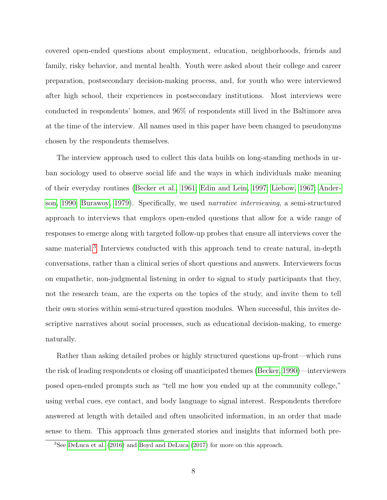covered open-ended questions about employment, education, neighborhoods, friends and family, risky behavior, and mental health. Youth were asked about their college and career preparation, postsecondary decision-making process, and, for youth who were interviewed after high school, their experiences in postsecondary institutions. Most interviews were conducted in respondents' homes, and 96% of respondents still lived in the Baltimore area at the time of the interview. All names used in this paper have been changed to pseudonyms chosen by the respondents themselves.

The interview approach used to collect this data builds on long-standing methods in urban sociology used to observe social life and the ways in which individuals make meaning of their everyday routines [\(Becker et al., 1961;](#page-37-6) [Edin and Lein, 1997;](#page-38-7) [Liebow, 1967;](#page-40-8) [Ander](#page-37-7)[son, 1990;](#page-37-7) [Burawoy, 1979\)](#page-38-8). Specifically, we used narrative interviewing, a semi-structured approach to interviews that employs open-ended questions that allow for a wide range of responses to emerge along with targeted follow-up probes that ensure all interviews cover the same material.<sup>[3](#page-8-0)</sup> Interviews conducted with this approach tend to create natural, in-depth conversations, rather than a clinical series of short questions and answers. Interviewers focus on empathetic, non-judgmental listening in order to signal to study participants that they, not the research team, are the experts on the topics of the study, and invite them to tell their own stories within semi-structured question modules. When successful, this invites descriptive narratives about social processes, such as educational decision-making, to emerge naturally.

Rather than asking detailed probes or highly structured questions up-front—which runs the risk of leading respondents or closing off unanticipated themes [\(Becker, 1990\)](#page-37-8)—interviewers posed open-ended prompts such as "tell me how you ended up at the community college," using verbal cues, eye contact, and body language to signal interest. Respondents therefore answered at length with detailed and often unsolicited information, in an order that made sense to them. This approach thus generated stories and insights that informed both pre-

<span id="page-8-0"></span><sup>3</sup>See [DeLuca et al.](#page-38-6) [\(2016\)](#page-38-6) and [Boyd and DeLuca](#page-37-9) [\(2017\)](#page-37-9) for more on this approach.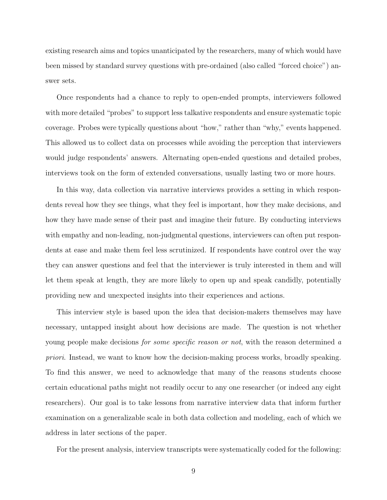existing research aims and topics unanticipated by the researchers, many of which would have been missed by standard survey questions with pre-ordained (also called "forced choice") answer sets.

Once respondents had a chance to reply to open-ended prompts, interviewers followed with more detailed "probes" to support less talkative respondents and ensure systematic topic coverage. Probes were typically questions about "how," rather than "why," events happened. This allowed us to collect data on processes while avoiding the perception that interviewers would judge respondents' answers. Alternating open-ended questions and detailed probes, interviews took on the form of extended conversations, usually lasting two or more hours.

In this way, data collection via narrative interviews provides a setting in which respondents reveal how they see things, what they feel is important, how they make decisions, and how they have made sense of their past and imagine their future. By conducting interviews with empathy and non-leading, non-judgmental questions, interviewers can often put respondents at ease and make them feel less scrutinized. If respondents have control over the way they can answer questions and feel that the interviewer is truly interested in them and will let them speak at length, they are more likely to open up and speak candidly, potentially providing new and unexpected insights into their experiences and actions.

This interview style is based upon the idea that decision-makers themselves may have necessary, untapped insight about how decisions are made. The question is not whether young people make decisions *for some specific reason or not*, with the reason determined a priori. Instead, we want to know how the decision-making process works, broadly speaking. To find this answer, we need to acknowledge that many of the reasons students choose certain educational paths might not readily occur to any one researcher (or indeed any eight researchers). Our goal is to take lessons from narrative interview data that inform further examination on a generalizable scale in both data collection and modeling, each of which we address in later sections of the paper.

For the present analysis, interview transcripts were systematically coded for the following: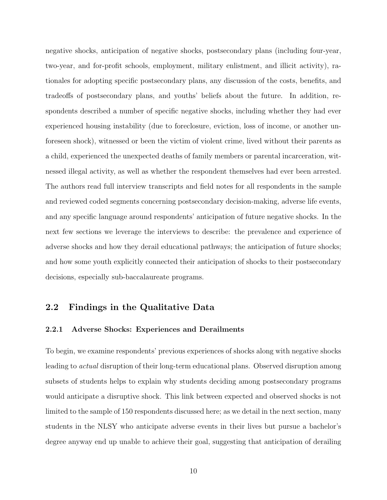negative shocks, anticipation of negative shocks, postsecondary plans (including four-year, two-year, and for-profit schools, employment, military enlistment, and illicit activity), rationales for adopting specific postsecondary plans, any discussion of the costs, benefits, and tradeoffs of postsecondary plans, and youths' beliefs about the future. In addition, respondents described a number of specific negative shocks, including whether they had ever experienced housing instability (due to foreclosure, eviction, loss of income, or another unforeseen shock), witnessed or been the victim of violent crime, lived without their parents as a child, experienced the unexpected deaths of family members or parental incarceration, witnessed illegal activity, as well as whether the respondent themselves had ever been arrested. The authors read full interview transcripts and field notes for all respondents in the sample and reviewed coded segments concerning postsecondary decision-making, adverse life events, and any specific language around respondents' anticipation of future negative shocks. In the next few sections we leverage the interviews to describe: the prevalence and experience of adverse shocks and how they derail educational pathways; the anticipation of future shocks; and how some youth explicitly connected their anticipation of shocks to their postsecondary decisions, especially sub-baccalaureate programs.

### 2.2 Findings in the Qualitative Data

#### 2.2.1 Adverse Shocks: Experiences and Derailments

To begin, we examine respondents' previous experiences of shocks along with negative shocks leading to actual disruption of their long-term educational plans. Observed disruption among subsets of students helps to explain why students deciding among postsecondary programs would anticipate a disruptive shock. This link between expected and observed shocks is not limited to the sample of 150 respondents discussed here; as we detail in the next section, many students in the NLSY who anticipate adverse events in their lives but pursue a bachelor's degree anyway end up unable to achieve their goal, suggesting that anticipation of derailing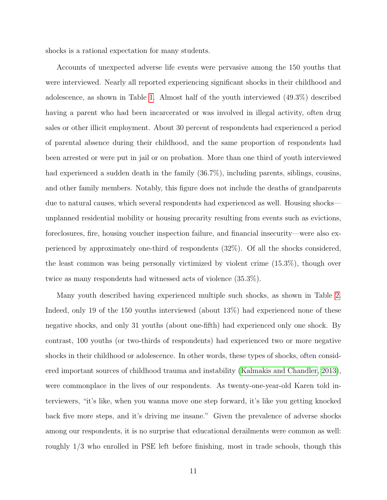shocks is a rational expectation for many students.

Accounts of unexpected adverse life events were pervasive among the 150 youths that were interviewed. Nearly all reported experiencing significant shocks in their childhood and adolescence, as shown in Table [1.](#page-43-0) Almost half of the youth interviewed (49.3%) described having a parent who had been incarcerated or was involved in illegal activity, often drug sales or other illicit employment. About 30 percent of respondents had experienced a period of parental absence during their childhood, and the same proportion of respondents had been arrested or were put in jail or on probation. More than one third of youth interviewed had experienced a sudden death in the family (36.7%), including parents, siblings, cousins, and other family members. Notably, this figure does not include the deaths of grandparents due to natural causes, which several respondents had experienced as well. Housing shocks unplanned residential mobility or housing precarity resulting from events such as evictions, foreclosures, fire, housing voucher inspection failure, and financial insecurity—were also experienced by approximately one-third of respondents (32%). Of all the shocks considered, the least common was being personally victimized by violent crime (15.3%), though over twice as many respondents had witnessed acts of violence (35.3%).

Many youth described having experienced multiple such shocks, as shown in Table [2.](#page-43-1) Indeed, only 19 of the 150 youths interviewed (about 13%) had experienced none of these negative shocks, and only 31 youths (about one-fifth) had experienced only one shock. By contrast, 100 youths (or two-thirds of respondents) had experienced two or more negative shocks in their childhood or adolescence. In other words, these types of shocks, often considered important sources of childhood trauma and instability [\(Kalmakis and Chandler, 2013\)](#page-40-9), were commonplace in the lives of our respondents. As twenty-one-year-old Karen told interviewers, "it's like, when you wanna move one step forward, it's like you getting knocked back five more steps, and it's driving me insane." Given the prevalence of adverse shocks among our respondents, it is no surprise that educational derailments were common as well: roughly  $1/3$  who enrolled in PSE left before finishing, most in trade schools, though this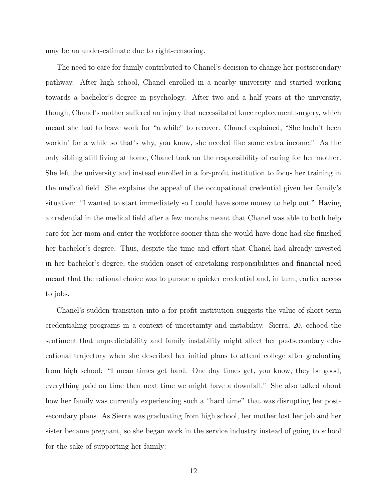may be an under-estimate due to right-censoring.

The need to care for family contributed to Chanel's decision to change her postsecondary pathway. After high school, Chanel enrolled in a nearby university and started working towards a bachelor's degree in psychology. After two and a half years at the university, though, Chanel's mother suffered an injury that necessitated knee replacement surgery, which meant she had to leave work for "a while" to recover. Chanel explained, "She hadn't been workin' for a while so that's why, you know, she needed like some extra income." As the only sibling still living at home, Chanel took on the responsibility of caring for her mother. She left the university and instead enrolled in a for-profit institution to focus her training in the medical field. She explains the appeal of the occupational credential given her family's situation: "I wanted to start immediately so I could have some money to help out." Having a credential in the medical field after a few months meant that Chanel was able to both help care for her mom and enter the workforce sooner than she would have done had she finished her bachelor's degree. Thus, despite the time and effort that Chanel had already invested in her bachelor's degree, the sudden onset of caretaking responsibilities and financial need meant that the rational choice was to pursue a quicker credential and, in turn, earlier access to jobs.

Chanel's sudden transition into a for-profit institution suggests the value of short-term credentialing programs in a context of uncertainty and instability. Sierra, 20, echoed the sentiment that unpredictability and family instability might affect her postsecondary educational trajectory when she described her initial plans to attend college after graduating from high school: "I mean times get hard. One day times get, you know, they be good, everything paid on time then next time we might have a downfall." She also talked about how her family was currently experiencing such a "hard time" that was disrupting her postsecondary plans. As Sierra was graduating from high school, her mother lost her job and her sister became pregnant, so she began work in the service industry instead of going to school for the sake of supporting her family: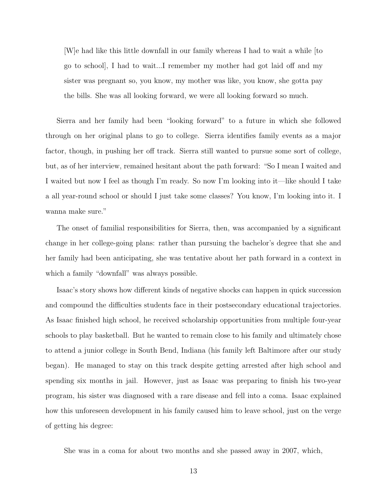$|W|$ e had like this little downfall in our family whereas I had to wait a while  $|$  to go to school], I had to wait...I remember my mother had got laid off and my sister was pregnant so, you know, my mother was like, you know, she gotta pay the bills. She was all looking forward, we were all looking forward so much.

Sierra and her family had been "looking forward" to a future in which she followed through on her original plans to go to college. Sierra identifies family events as a major factor, though, in pushing her off track. Sierra still wanted to pursue some sort of college, but, as of her interview, remained hesitant about the path forward: "So I mean I waited and I waited but now I feel as though I'm ready. So now I'm looking into it—like should I take a all year-round school or should I just take some classes? You know, I'm looking into it. I wanna make sure."

The onset of familial responsibilities for Sierra, then, was accompanied by a significant change in her college-going plans: rather than pursuing the bachelor's degree that she and her family had been anticipating, she was tentative about her path forward in a context in which a family "downfall" was always possible.

Isaac's story shows how different kinds of negative shocks can happen in quick succession and compound the difficulties students face in their postsecondary educational trajectories. As Isaac finished high school, he received scholarship opportunities from multiple four-year schools to play basketball. But he wanted to remain close to his family and ultimately chose to attend a junior college in South Bend, Indiana (his family left Baltimore after our study began). He managed to stay on this track despite getting arrested after high school and spending six months in jail. However, just as Isaac was preparing to finish his two-year program, his sister was diagnosed with a rare disease and fell into a coma. Isaac explained how this unforeseen development in his family caused him to leave school, just on the verge of getting his degree:

She was in a coma for about two months and she passed away in 2007, which,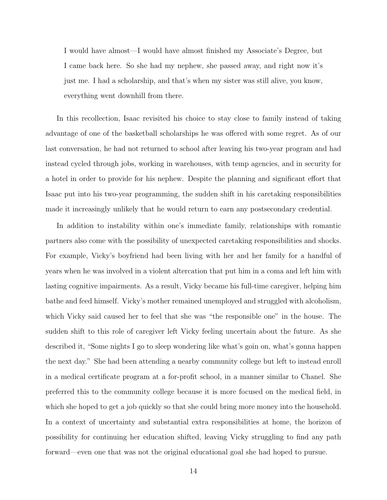I would have almost—I would have almost finished my Associate's Degree, but I came back here. So she had my nephew, she passed away, and right now it's just me. I had a scholarship, and that's when my sister was still alive, you know, everything went downhill from there.

In this recollection, Isaac revisited his choice to stay close to family instead of taking advantage of one of the basketball scholarships he was offered with some regret. As of our last conversation, he had not returned to school after leaving his two-year program and had instead cycled through jobs, working in warehouses, with temp agencies, and in security for a hotel in order to provide for his nephew. Despite the planning and significant effort that Isaac put into his two-year programming, the sudden shift in his caretaking responsibilities made it increasingly unlikely that he would return to earn any postsecondary credential.

In addition to instability within one's immediate family, relationships with romantic partners also come with the possibility of unexpected caretaking responsibilities and shocks. For example, Vicky's boyfriend had been living with her and her family for a handful of years when he was involved in a violent altercation that put him in a coma and left him with lasting cognitive impairments. As a result, Vicky became his full-time caregiver, helping him bathe and feed himself. Vicky's mother remained unemployed and struggled with alcoholism, which Vicky said caused her to feel that she was "the responsible one" in the house. The sudden shift to this role of caregiver left Vicky feeling uncertain about the future. As she described it, "Some nights I go to sleep wondering like what's goin on, what's gonna happen the next day." She had been attending a nearby community college but left to instead enroll in a medical certificate program at a for-profit school, in a manner similar to Chanel. She preferred this to the community college because it is more focused on the medical field, in which she hoped to get a job quickly so that she could bring more money into the household. In a context of uncertainty and substantial extra responsibilities at home, the horizon of possibility for continuing her education shifted, leaving Vicky struggling to find any path forward—even one that was not the original educational goal she had hoped to pursue.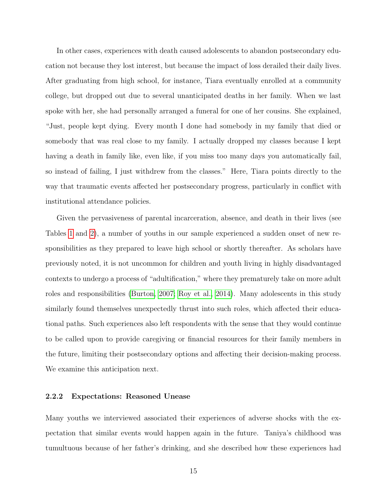In other cases, experiences with death caused adolescents to abandon postsecondary education not because they lost interest, but because the impact of loss derailed their daily lives. After graduating from high school, for instance, Tiara eventually enrolled at a community college, but dropped out due to several unanticipated deaths in her family. When we last spoke with her, she had personally arranged a funeral for one of her cousins. She explained, "Just, people kept dying. Every month I done had somebody in my family that died or somebody that was real close to my family. I actually dropped my classes because I kept having a death in family like, even like, if you miss too many days you automatically fail, so instead of failing, I just withdrew from the classes." Here, Tiara points directly to the way that traumatic events affected her postsecondary progress, particularly in conflict with institutional attendance policies.

Given the pervasiveness of parental incarceration, absence, and death in their lives (see Tables [1](#page-43-0) and [2\)](#page-43-1), a number of youths in our sample experienced a sudden onset of new responsibilities as they prepared to leave high school or shortly thereafter. As scholars have previously noted, it is not uncommon for children and youth living in highly disadvantaged contexts to undergo a process of "adultification," where they prematurely take on more adult roles and responsibilities [\(Burton, 2007;](#page-38-9) [Roy et al., 2014\)](#page-42-7). Many adolescents in this study similarly found themselves unexpectedly thrust into such roles, which affected their educational paths. Such experiences also left respondents with the sense that they would continue to be called upon to provide caregiving or financial resources for their family members in the future, limiting their postsecondary options and affecting their decision-making process. We examine this anticipation next.

#### 2.2.2 Expectations: Reasoned Unease

Many youths we interviewed associated their experiences of adverse shocks with the expectation that similar events would happen again in the future. Taniya's childhood was tumultuous because of her father's drinking, and she described how these experiences had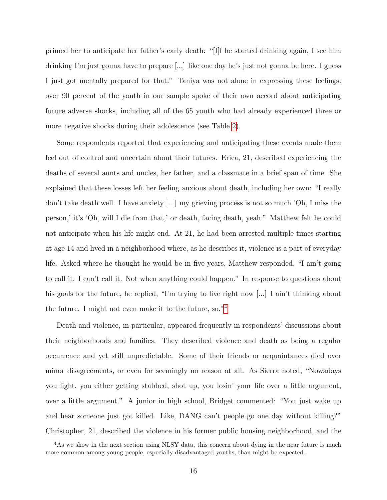primed her to anticipate her father's early death: "[I]f he started drinking again, I see him drinking I'm just gonna have to prepare [...] like one day he's just not gonna be here. I guess I just got mentally prepared for that." Taniya was not alone in expressing these feelings: over 90 percent of the youth in our sample spoke of their own accord about anticipating future adverse shocks, including all of the 65 youth who had already experienced three or more negative shocks during their adolescence (see Table [2\)](#page-43-1).

Some respondents reported that experiencing and anticipating these events made them feel out of control and uncertain about their futures. Erica, 21, described experiencing the deaths of several aunts and uncles, her father, and a classmate in a brief span of time. She explained that these losses left her feeling anxious about death, including her own: "I really don't take death well. I have anxiety [...] my grieving process is not so much 'Oh, I miss the person,' it's 'Oh, will I die from that,' or death, facing death, yeah." Matthew felt he could not anticipate when his life might end. At 21, he had been arrested multiple times starting at age 14 and lived in a neighborhood where, as he describes it, violence is a part of everyday life. Asked where he thought he would be in five years, Matthew responded, "I ain't going to call it. I can't call it. Not when anything could happen." In response to questions about his goals for the future, he replied, "I'm trying to live right now [...] I ain't thinking about the future. I might not even make it to the future, so."[4](#page-16-0)

Death and violence, in particular, appeared frequently in respondents' discussions about their neighborhoods and families. They described violence and death as being a regular occurrence and yet still unpredictable. Some of their friends or acquaintances died over minor disagreements, or even for seemingly no reason at all. As Sierra noted, "Nowadays you fight, you either getting stabbed, shot up, you losin' your life over a little argument, over a little argument." A junior in high school, Bridget commented: "You just wake up and hear someone just got killed. Like, DANG can't people go one day without killing?" Christopher, 21, described the violence in his former public housing neighborhood, and the

<span id="page-16-0"></span><sup>&</sup>lt;sup>4</sup>As we show in the next section using NLSY data, this concern about dying in the near future is much more common among young people, especially disadvantaged youths, than might be expected.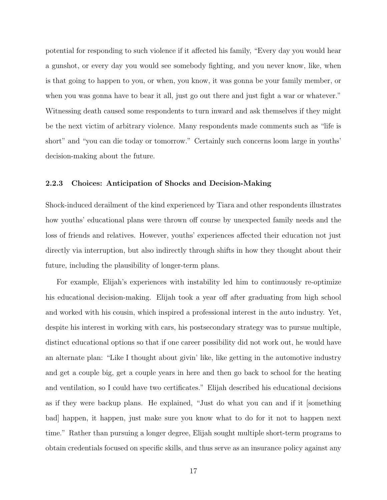potential for responding to such violence if it affected his family, "Every day you would hear a gunshot, or every day you would see somebody fighting, and you never know, like, when is that going to happen to you, or when, you know, it was gonna be your family member, or when you was gonna have to bear it all, just go out there and just fight a war or whatever." Witnessing death caused some respondents to turn inward and ask themselves if they might be the next victim of arbitrary violence. Many respondents made comments such as "life is short" and "you can die today or tomorrow." Certainly such concerns loom large in youths' decision-making about the future.

#### 2.2.3 Choices: Anticipation of Shocks and Decision-Making

Shock-induced derailment of the kind experienced by Tiara and other respondents illustrates how youths' educational plans were thrown off course by unexpected family needs and the loss of friends and relatives. However, youths' experiences affected their education not just directly via interruption, but also indirectly through shifts in how they thought about their future, including the plausibility of longer-term plans.

For example, Elijah's experiences with instability led him to continuously re-optimize his educational decision-making. Elijah took a year off after graduating from high school and worked with his cousin, which inspired a professional interest in the auto industry. Yet, despite his interest in working with cars, his postsecondary strategy was to pursue multiple, distinct educational options so that if one career possibility did not work out, he would have an alternate plan: "Like I thought about givin' like, like getting in the automotive industry and get a couple big, get a couple years in here and then go back to school for the heating and ventilation, so I could have two certificates." Elijah described his educational decisions as if they were backup plans. He explained, "Just do what you can and if it [something bad] happen, it happen, just make sure you know what to do for it not to happen next time." Rather than pursuing a longer degree, Elijah sought multiple short-term programs to obtain credentials focused on specific skills, and thus serve as an insurance policy against any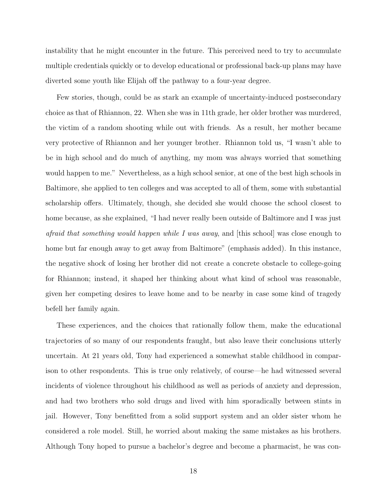instability that he might encounter in the future. This perceived need to try to accumulate multiple credentials quickly or to develop educational or professional back-up plans may have diverted some youth like Elijah off the pathway to a four-year degree.

Few stories, though, could be as stark an example of uncertainty-induced postsecondary choice as that of Rhiannon, 22. When she was in 11th grade, her older brother was murdered, the victim of a random shooting while out with friends. As a result, her mother became very protective of Rhiannon and her younger brother. Rhiannon told us, "I wasn't able to be in high school and do much of anything, my mom was always worried that something would happen to me." Nevertheless, as a high school senior, at one of the best high schools in Baltimore, she applied to ten colleges and was accepted to all of them, some with substantial scholarship offers. Ultimately, though, she decided she would choose the school closest to home because, as she explained, "I had never really been outside of Baltimore and I was just afraid that something would happen while I was away, and [this school] was close enough to home but far enough away to get away from Baltimore" (emphasis added). In this instance, the negative shock of losing her brother did not create a concrete obstacle to college-going for Rhiannon; instead, it shaped her thinking about what kind of school was reasonable, given her competing desires to leave home and to be nearby in case some kind of tragedy befell her family again.

These experiences, and the choices that rationally follow them, make the educational trajectories of so many of our respondents fraught, but also leave their conclusions utterly uncertain. At 21 years old, Tony had experienced a somewhat stable childhood in comparison to other respondents. This is true only relatively, of course—he had witnessed several incidents of violence throughout his childhood as well as periods of anxiety and depression, and had two brothers who sold drugs and lived with him sporadically between stints in jail. However, Tony benefitted from a solid support system and an older sister whom he considered a role model. Still, he worried about making the same mistakes as his brothers. Although Tony hoped to pursue a bachelor's degree and become a pharmacist, he was con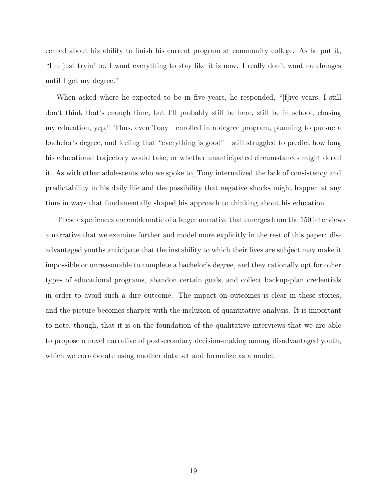cerned about his ability to finish his current program at community college. As he put it, "I'm just tryin' to, I want everything to stay like it is now. I really don't want no changes until I get my degree."

When asked where he expected to be in five years, he responded, "[f]ive years, I still don't think that's enough time, but I'll probably still be here, still be in school, chasing my education, yep." Thus, even Tony—enrolled in a degree program, planning to pursue a bachelor's degree, and feeling that "everything is good"—still struggled to predict how long his educational trajectory would take, or whether unanticipated circumstances might derail it. As with other adolescents who we spoke to, Tony internalized the lack of consistency and predictability in his daily life and the possibility that negative shocks might happen at any time in ways that fundamentally shaped his approach to thinking about his education.

These experiences are emblematic of a larger narrative that emerges from the 150 interviews a narrative that we examine further and model more explicitly in the rest of this paper: disadvantaged youths anticipate that the instability to which their lives are subject may make it impossible or unreasonable to complete a bachelor's degree, and they rationally opt for other types of educational programs, abandon certain goals, and collect backup-plan credentials in order to avoid such a dire outcome. The impact on outcomes is clear in these stories, and the picture becomes sharper with the inclusion of quantitative analysis. It is important to note, though, that it is on the foundation of the qualitative interviews that we are able to propose a novel narrative of postsecondary decision-making among disadvantaged youth, which we corroborate using another data set and formalize as a model.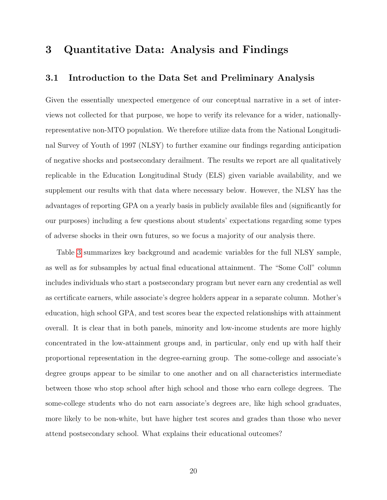# 3 Quantitative Data: Analysis and Findings

### 3.1 Introduction to the Data Set and Preliminary Analysis

Given the essentially unexpected emergence of our conceptual narrative in a set of interviews not collected for that purpose, we hope to verify its relevance for a wider, nationallyrepresentative non-MTO population. We therefore utilize data from the National Longitudinal Survey of Youth of 1997 (NLSY) to further examine our findings regarding anticipation of negative shocks and postsecondary derailment. The results we report are all qualitatively replicable in the Education Longitudinal Study (ELS) given variable availability, and we supplement our results with that data where necessary below. However, the NLSY has the advantages of reporting GPA on a yearly basis in publicly available files and (significantly for our purposes) including a few questions about students' expectations regarding some types of adverse shocks in their own futures, so we focus a majority of our analysis there.

Table [3](#page-44-0) summarizes key background and academic variables for the full NLSY sample, as well as for subsamples by actual final educational attainment. The "Some Coll" column includes individuals who start a postsecondary program but never earn any credential as well as certificate earners, while associate's degree holders appear in a separate column. Mother's education, high school GPA, and test scores bear the expected relationships with attainment overall. It is clear that in both panels, minority and low-income students are more highly concentrated in the low-attainment groups and, in particular, only end up with half their proportional representation in the degree-earning group. The some-college and associate's degree groups appear to be similar to one another and on all characteristics intermediate between those who stop school after high school and those who earn college degrees. The some-college students who do not earn associate's degrees are, like high school graduates, more likely to be non-white, but have higher test scores and grades than those who never attend postsecondary school. What explains their educational outcomes?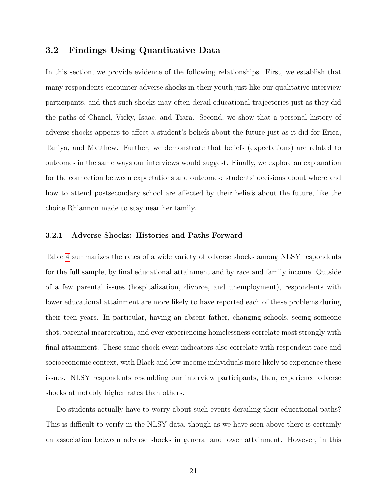### 3.2 Findings Using Quantitative Data

In this section, we provide evidence of the following relationships. First, we establish that many respondents encounter adverse shocks in their youth just like our qualitative interview participants, and that such shocks may often derail educational trajectories just as they did the paths of Chanel, Vicky, Isaac, and Tiara. Second, we show that a personal history of adverse shocks appears to affect a student's beliefs about the future just as it did for Erica, Taniya, and Matthew. Further, we demonstrate that beliefs (expectations) are related to outcomes in the same ways our interviews would suggest. Finally, we explore an explanation for the connection between expectations and outcomes: students' decisions about where and how to attend postsecondary school are affected by their beliefs about the future, like the choice Rhiannon made to stay near her family.

#### 3.2.1 Adverse Shocks: Histories and Paths Forward

Table [4](#page-44-1) summarizes the rates of a wide variety of adverse shocks among NLSY respondents for the full sample, by final educational attainment and by race and family income. Outside of a few parental issues (hospitalization, divorce, and unemployment), respondents with lower educational attainment are more likely to have reported each of these problems during their teen years. In particular, having an absent father, changing schools, seeing someone shot, parental incarceration, and ever experiencing homelessness correlate most strongly with final attainment. These same shock event indicators also correlate with respondent race and socioeconomic context, with Black and low-income individuals more likely to experience these issues. NLSY respondents resembling our interview participants, then, experience adverse shocks at notably higher rates than others.

Do students actually have to worry about such events derailing their educational paths? This is difficult to verify in the NLSY data, though as we have seen above there is certainly an association between adverse shocks in general and lower attainment. However, in this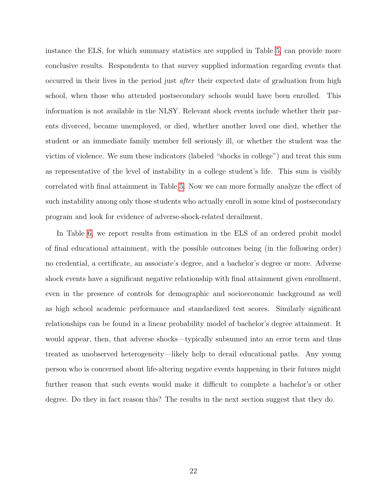instance the ELS, for which summary statistics are supplied in Table [5,](#page-45-0) can provide more conclusive results. Respondents to that survey supplied information regarding events that occurred in their lives in the period just after their expected date of graduation from high school, when those who attended postsecondary schools would have been enrolled. This information is not available in the NLSY. Relevant shock events include whether their parents divorced, became unemployed, or died, whether another loved one died, whether the student or an immediate family member fell seriously ill, or whether the student was the victim of violence. We sum these indicators (labeled "shocks in college") and treat this sum as representative of the level of instability in a college student's life. This sum is visibly correlated with final attainment in Table [5.](#page-45-0) Now we can more formally analyze the effect of such instability among only those students who actually enroll in some kind of postsecondary program and look for evidence of adverse-shock-related derailment.

In Table [6,](#page-46-0) we report results from estimation in the ELS of an ordered probit model of final educational attainment, with the possible outcomes being (in the following order) no credential, a certificate, an associate's degree, and a bachelor's degree or more. Adverse shock events have a significant negative relationship with final attainment given enrollment, even in the presence of controls for demographic and socioeconomic background as well as high school academic performance and standardized test scores. Similarly significant relationships can be found in a linear probability model of bachelor's degree attainment. It would appear, then, that adverse shocks—typically subsumed into an error term and thus treated as unobserved heterogeneity—likely help to derail educational paths. Any young person who is concerned about life-altering negative events happening in their futures might further reason that such events would make it difficult to complete a bachelor's or other degree. Do they in fact reason this? The results in the next section suggest that they do.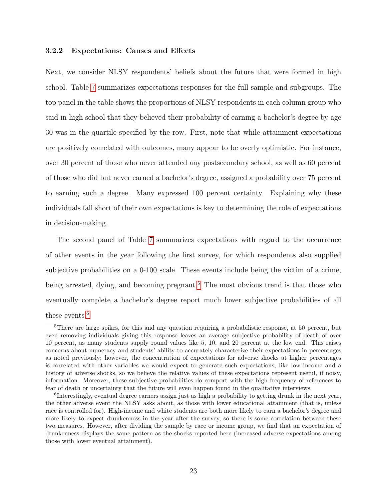#### 3.2.2 Expectations: Causes and Effects

Next, we consider NLSY respondents' beliefs about the future that were formed in high school. Table [7](#page-47-0) summarizes expectations responses for the full sample and subgroups. The top panel in the table shows the proportions of NLSY respondents in each column group who said in high school that they believed their probability of earning a bachelor's degree by age 30 was in the quartile specified by the row. First, note that while attainment expectations are positively correlated with outcomes, many appear to be overly optimistic. For instance, over 30 percent of those who never attended any postsecondary school, as well as 60 percent of those who did but never earned a bachelor's degree, assigned a probability over 75 percent to earning such a degree. Many expressed 100 percent certainty. Explaining why these individuals fall short of their own expectations is key to determining the role of expectations in decision-making.

The second panel of Table [7](#page-47-0) summarizes expectations with regard to the occurrence of other events in the year following the first survey, for which respondents also supplied subjective probabilities on a 0-100 scale. These events include being the victim of a crime, being arrested, dying, and becoming pregnant.<sup>[5](#page-23-0)</sup> The most obvious trend is that those who eventually complete a bachelor's degree report much lower subjective probabilities of all these events.<sup>[6](#page-23-1)</sup>

<span id="page-23-0"></span><sup>&</sup>lt;sup>5</sup>There are large spikes, for this and any question requiring a probabilistic response, at 50 percent, but even removing individuals giving this response leaves an average subjective probability of death of over 10 percent, as many students supply round values like 5, 10, and 20 percent at the low end. This raises concerns about numeracy and students' ability to accurately characterize their expectations in percentages as noted previously; however, the concentration of expectations for adverse shocks at higher percentages is correlated with other variables we would expect to generate such expectations, like low income and a history of adverse shocks, so we believe the relative values of these expectations represent useful, if noisy, information. Moreover, these subjective probabilities do comport with the high frequency of references to fear of death or uncertainty that the future will even happen found in the qualitative interviews.

<span id="page-23-1"></span><sup>&</sup>lt;sup>6</sup>Interestingly, eventual degree earners assign just as high a probability to getting drunk in the next year, the other adverse event the NLSY asks about, as those with lower educational attainment (that is, unless race is controlled for). High-income and white students are both more likely to earn a bachelor's degree and more likely to expect drunkenness in the year after the survey, so there is some correlation between these two measures. However, after dividing the sample by race or income group, we find that an expectation of drunkenness displays the same pattern as the shocks reported here (increased adverse expectations among those with lower eventual attainment).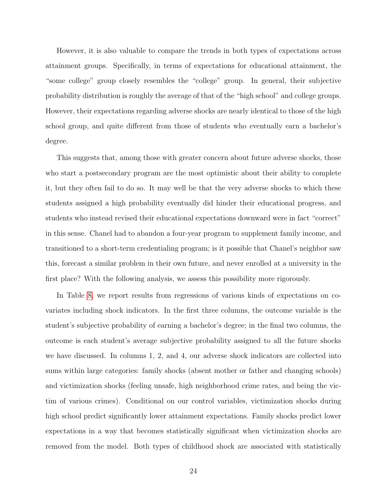However, it is also valuable to compare the trends in both types of expectations across attainment groups. Specifically, in terms of expectations for educational attainment, the "some college" group closely resembles the "college" group. In general, their subjective probability distribution is roughly the average of that of the "high school" and college groups. However, their expectations regarding adverse shocks are nearly identical to those of the high school group, and quite different from those of students who eventually earn a bachelor's degree.

This suggests that, among those with greater concern about future adverse shocks, those who start a postsecondary program are the most optimistic about their ability to complete it, but they often fail to do so. It may well be that the very adverse shocks to which these students assigned a high probability eventually did hinder their educational progress, and students who instead revised their educational expectations downward were in fact "correct" in this sense. Chanel had to abandon a four-year program to supplement family income, and transitioned to a short-term credentialing program; is it possible that Chanel's neighbor saw this, forecast a similar problem in their own future, and never enrolled at a university in the first place? With the following analysis, we assess this possibility more rigorously.

In Table [8,](#page-48-0) we report results from regressions of various kinds of expectations on covariates including shock indicators. In the first three columns, the outcome variable is the student's subjective probability of earning a bachelor's degree; in the final two columns, the outcome is each student's average subjective probability assigned to all the future shocks we have discussed. In columns 1, 2, and 4, our adverse shock indicators are collected into sums within large categories: family shocks (absent mother or father and changing schools) and victimization shocks (feeling unsafe, high neighborhood crime rates, and being the victim of various crimes). Conditional on our control variables, victimization shocks during high school predict significantly lower attainment expectations. Family shocks predict lower expectations in a way that becomes statistically significant when victimization shocks are removed from the model. Both types of childhood shock are associated with statistically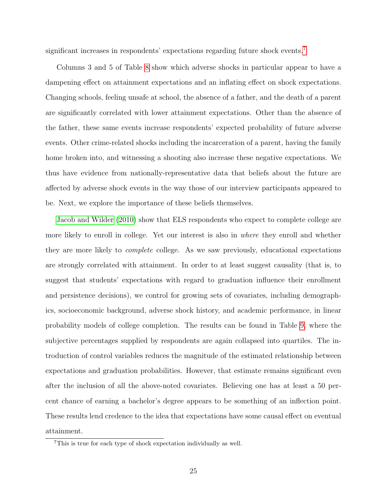significant increases in respondents' expectations regarding future shock events.<sup>[7](#page-25-0)</sup>

Columns 3 and 5 of Table [8](#page-48-0) show which adverse shocks in particular appear to have a dampening effect on attainment expectations and an inflating effect on shock expectations. Changing schools, feeling unsafe at school, the absence of a father, and the death of a parent are significantly correlated with lower attainment expectations. Other than the absence of the father, these same events increase respondents' expected probability of future adverse events. Other crime-related shocks including the incarceration of a parent, having the family home broken into, and witnessing a shooting also increase these negative expectations. We thus have evidence from nationally-representative data that beliefs about the future are affected by adverse shock events in the way those of our interview participants appeared to be. Next, we explore the importance of these beliefs themselves.

[Jacob and Wilder](#page-40-6) [\(2010\)](#page-40-6) show that ELS respondents who expect to complete college are more likely to enroll in college. Yet our interest is also in where they enroll and whether they are more likely to complete college. As we saw previously, educational expectations are strongly correlated with attainment. In order to at least suggest causality (that is, to suggest that students' expectations with regard to graduation influence their enrollment and persistence decisions), we control for growing sets of covariates, including demographics, socioeconomic background, adverse shock history, and academic performance, in linear probability models of college completion. The results can be found in Table [9,](#page-49-0) where the subjective percentages supplied by respondents are again collapsed into quartiles. The introduction of control variables reduces the magnitude of the estimated relationship between expectations and graduation probabilities. However, that estimate remains significant even after the inclusion of all the above-noted covariates. Believing one has at least a 50 percent chance of earning a bachelor's degree appears to be something of an inflection point. These results lend credence to the idea that expectations have some causal effect on eventual attainment.

<span id="page-25-0"></span><sup>7</sup>This is true for each type of shock expectation individually as well.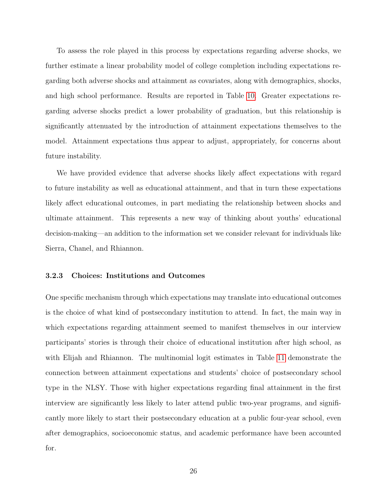To assess the role played in this process by expectations regarding adverse shocks, we further estimate a linear probability model of college completion including expectations regarding both adverse shocks and attainment as covariates, along with demographics, shocks, and high school performance. Results are reported in Table [10.](#page-50-0) Greater expectations regarding adverse shocks predict a lower probability of graduation, but this relationship is significantly attenuated by the introduction of attainment expectations themselves to the model. Attainment expectations thus appear to adjust, appropriately, for concerns about future instability.

We have provided evidence that adverse shocks likely affect expectations with regard to future instability as well as educational attainment, and that in turn these expectations likely affect educational outcomes, in part mediating the relationship between shocks and ultimate attainment. This represents a new way of thinking about youths' educational decision-making—an addition to the information set we consider relevant for individuals like Sierra, Chanel, and Rhiannon.

#### 3.2.3 Choices: Institutions and Outcomes

One specific mechanism through which expectations may translate into educational outcomes is the choice of what kind of postsecondary institution to attend. In fact, the main way in which expectations regarding attainment seemed to manifest themselves in our interview participants' stories is through their choice of educational institution after high school, as with Elijah and Rhiannon. The multinomial logit estimates in Table [11](#page-51-0) demonstrate the connection between attainment expectations and students' choice of postsecondary school type in the NLSY. Those with higher expectations regarding final attainment in the first interview are significantly less likely to later attend public two-year programs, and significantly more likely to start their postsecondary education at a public four-year school, even after demographics, socioeconomic status, and academic performance have been accounted for.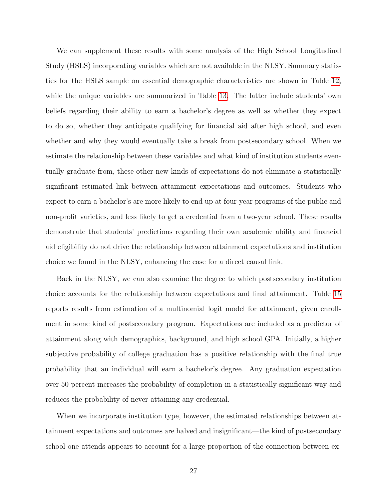We can supplement these results with some analysis of the High School Longitudinal Study (HSLS) incorporating variables which are not available in the NLSY. Summary statistics for the HSLS sample on essential demographic characteristics are shown in Table [12,](#page-52-0) while the unique variables are summarized in Table [13.](#page-52-1) The latter include students' own beliefs regarding their ability to earn a bachelor's degree as well as whether they expect to do so, whether they anticipate qualifying for financial aid after high school, and even whether and why they would eventually take a break from postsecondary school. When we estimate the relationship between these variables and what kind of institution students eventually graduate from, these other new kinds of expectations do not eliminate a statistically significant estimated link between attainment expectations and outcomes. Students who expect to earn a bachelor's are more likely to end up at four-year programs of the public and non-profit varieties, and less likely to get a credential from a two-year school. These results demonstrate that students' predictions regarding their own academic ability and financial aid eligibility do not drive the relationship between attainment expectations and institution choice we found in the NLSY, enhancing the case for a direct causal link.

Back in the NLSY, we can also examine the degree to which postsecondary institution choice accounts for the relationship between expectations and final attainment. Table [15](#page-54-0) reports results from estimation of a multinomial logit model for attainment, given enrollment in some kind of postsecondary program. Expectations are included as a predictor of attainment along with demographics, background, and high school GPA. Initially, a higher subjective probability of college graduation has a positive relationship with the final true probability that an individual will earn a bachelor's degree. Any graduation expectation over 50 percent increases the probability of completion in a statistically significant way and reduces the probability of never attaining any credential.

When we incorporate institution type, however, the estimated relationships between attainment expectations and outcomes are halved and insignificant—the kind of postsecondary school one attends appears to account for a large proportion of the connection between ex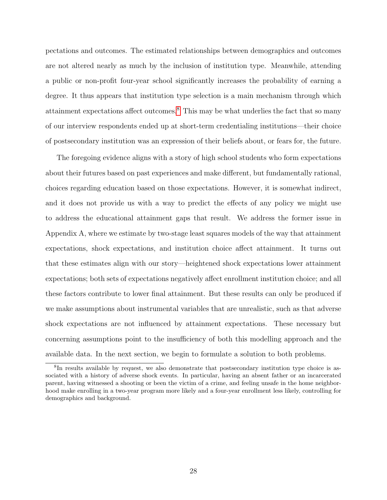pectations and outcomes. The estimated relationships between demographics and outcomes are not altered nearly as much by the inclusion of institution type. Meanwhile, attending a public or non-profit four-year school significantly increases the probability of earning a degree. It thus appears that institution type selection is a main mechanism through which attainment expectations affect outcomes.[8](#page-28-0) This may be what underlies the fact that so many of our interview respondents ended up at short-term credentialing institutions—their choice of postsecondary institution was an expression of their beliefs about, or fears for, the future.

The foregoing evidence aligns with a story of high school students who form expectations about their futures based on past experiences and make different, but fundamentally rational, choices regarding education based on those expectations. However, it is somewhat indirect, and it does not provide us with a way to predict the effects of any policy we might use to address the educational attainment gaps that result. We address the former issue in Appendix A, where we estimate by two-stage least squares models of the way that attainment expectations, shock expectations, and institution choice affect attainment. It turns out that these estimates align with our story—heightened shock expectations lower attainment expectations; both sets of expectations negatively affect enrollment institution choice; and all these factors contribute to lower final attainment. But these results can only be produced if we make assumptions about instrumental variables that are unrealistic, such as that adverse shock expectations are not influenced by attainment expectations. These necessary but concerning assumptions point to the insufficiency of both this modelling approach and the available data. In the next section, we begin to formulate a solution to both problems.

<span id="page-28-0"></span><sup>&</sup>lt;sup>8</sup>In results available by request, we also demonstrate that postsecondary institution type choice is associated with a history of adverse shock events. In particular, having an absent father or an incarcerated parent, having witnessed a shooting or been the victim of a crime, and feeling unsafe in the home neighborhood make enrolling in a two-year program more likely and a four-year enrollment less likely, controlling for demographics and background.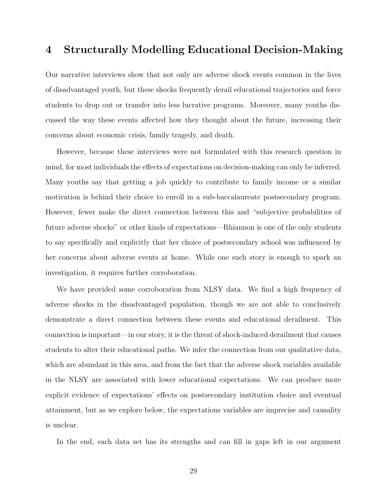### <span id="page-29-0"></span>4 Structurally Modelling Educational Decision-Making

Our narrative interviews show that not only are adverse shock events common in the lives of disadvantaged youth, but these shocks frequently derail educational trajectories and force students to drop out or transfer into less lucrative programs. Moreover, many youths discussed the way these events affected how they thought about the future, increasing their concerns about economic crisis, family tragedy, and death.

However, because these interviews were not formulated with this research question in mind, for most individuals the effects of expectations on decision-making can only be inferred. Many youths say that getting a job quickly to contribute to family income or a similar motivation is behind their choice to enroll in a sub-baccalaureate postsecondary program. However, fewer make the direct connection between this and "subjective probabilities of future adverse shocks" or other kinds of expectations—Rhiannon is one of the only students to say specifically and explicitly that her choice of postsecondary school was influenced by her concerns about adverse events at home. While one such story is enough to spark an investigation, it requires further corroboration.

We have provided some corroboration from NLSY data. We find a high frequency of adverse shocks in the disadvantaged population, though we are not able to conclusively demonstrate a direct connection between these events and educational derailment. This connection is important—in our story, it is the threat of shock-induced derailment that causes students to alter their educational paths. We infer the connection from our qualitative data, which are abundant in this area, and from the fact that the adverse shock variables available in the NLSY are associated with lower educational expectations. We can produce more explicit evidence of expectations' effects on postsecondary institution choice and eventual attainment, but as we explore below, the expectations variables are imprecise and causality is unclear.

In the end, each data set has its strengths and can fill in gaps left in our argument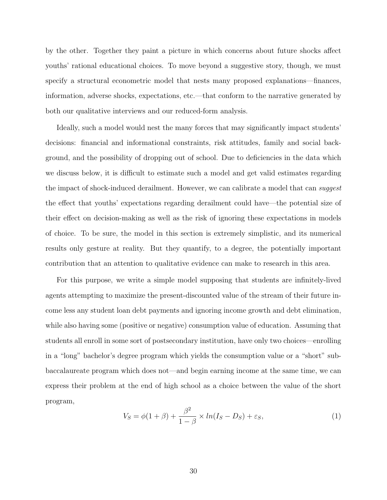by the other. Together they paint a picture in which concerns about future shocks affect youths' rational educational choices. To move beyond a suggestive story, though, we must specify a structural econometric model that nests many proposed explanations—finances, information, adverse shocks, expectations, etc.—that conform to the narrative generated by both our qualitative interviews and our reduced-form analysis.

Ideally, such a model would nest the many forces that may significantly impact students' decisions: financial and informational constraints, risk attitudes, family and social background, and the possibility of dropping out of school. Due to deficiencies in the data which we discuss below, it is difficult to estimate such a model and get valid estimates regarding the impact of shock-induced derailment. However, we can calibrate a model that can *suggest* the effect that youths' expectations regarding derailment could have—the potential size of their effect on decision-making as well as the risk of ignoring these expectations in models of choice. To be sure, the model in this section is extremely simplistic, and its numerical results only gesture at reality. But they quantify, to a degree, the potentially important contribution that an attention to qualitative evidence can make to research in this area.

For this purpose, we write a simple model supposing that students are infinitely-lived agents attempting to maximize the present-discounted value of the stream of their future income less any student loan debt payments and ignoring income growth and debt elimination, while also having some (positive or negative) consumption value of education. Assuming that students all enroll in some sort of postsecondary institution, have only two choices—enrolling in a "long" bachelor's degree program which yields the consumption value or a "short" subbaccalaureate program which does not—and begin earning income at the same time, we can express their problem at the end of high school as a choice between the value of the short program,

$$
V_S = \phi(1+\beta) + \frac{\beta^2}{1-\beta} \times \ln(I_S - D_S) + \varepsilon_S,
$$
\n(1)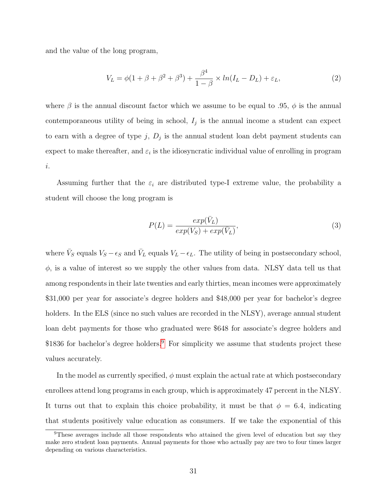and the value of the long program,

$$
V_L = \phi(1 + \beta + \beta^2 + \beta^3) + \frac{\beta^4}{1 - \beta} \times \ln(I_L - D_L) + \varepsilon_L,
$$
\n(2)

where  $\beta$  is the annual discount factor which we assume to be equal to .95,  $\phi$  is the annual contemporaneous utility of being in school,  $I_j$  is the annual income a student can expect to earn with a degree of type  $j$ ,  $D_j$  is the annual student loan debt payment students can expect to make thereafter, and  $\varepsilon_i$  is the idiosyncratic individual value of enrolling in program i.

Assuming further that the  $\varepsilon_i$  are distributed type-I extreme value, the probability a student will choose the long program is

$$
P(L) = \frac{exp(\bar{V}_L)}{exp(V_S) + exp(\bar{V}_L)},
$$
\n(3)

where  $\bar{V}_S$  equals  $V_S - \epsilon_S$  and  $\bar{V}_L$  equals  $V_L - \epsilon_L$ . The utility of being in postsecondary school,  $\phi$ , is a value of interest so we supply the other values from data. NLSY data tell us that among respondents in their late twenties and early thirties, mean incomes were approximately \$31,000 per year for associate's degree holders and \$48,000 per year for bachelor's degree holders. In the ELS (since no such values are recorded in the NLSY), average annual student loan debt payments for those who graduated were \$648 for associate's degree holders and  $$1836$  for bachelor's degree holders.<sup>[9](#page-31-0)</sup> For simplicity we assume that students project these values accurately.

In the model as currently specified,  $\phi$  must explain the actual rate at which postsecondary enrollees attend long programs in each group, which is approximately 47 percent in the NLSY. It turns out that to explain this choice probability, it must be that  $\phi = 6.4$ , indicating that students positively value education as consumers. If we take the exponential of this

<span id="page-31-0"></span><sup>9</sup>These averages include all those respondents who attained the given level of education but say they make zero student loan payments. Annual payments for those who actually pay are two to four times larger depending on various characteristics.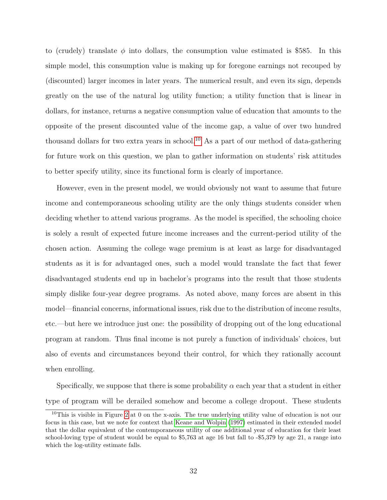to (crudely) translate  $\phi$  into dollars, the consumption value estimated is \$585. In this simple model, this consumption value is making up for foregone earnings not recouped by (discounted) larger incomes in later years. The numerical result, and even its sign, depends greatly on the use of the natural log utility function; a utility function that is linear in dollars, for instance, returns a negative consumption value of education that amounts to the opposite of the present discounted value of the income gap, a value of over two hundred thousand dollars for two extra years in school.[10](#page-32-0) As a part of our method of data-gathering for future work on this question, we plan to gather information on students' risk attitudes to better specify utility, since its functional form is clearly of importance.

However, even in the present model, we would obviously not want to assume that future income and contemporaneous schooling utility are the only things students consider when deciding whether to attend various programs. As the model is specified, the schooling choice is solely a result of expected future income increases and the current-period utility of the chosen action. Assuming the college wage premium is at least as large for disadvantaged students as it is for advantaged ones, such a model would translate the fact that fewer disadvantaged students end up in bachelor's programs into the result that those students simply dislike four-year degree programs. As noted above, many forces are absent in this model—financial concerns, informational issues, risk due to the distribution of income results, etc.—but here we introduce just one: the possibility of dropping out of the long educational program at random. Thus final income is not purely a function of individuals' choices, but also of events and circumstances beyond their control, for which they rationally account when enrolling.

Specifically, we suppose that there is some probability  $\alpha$  each year that a student in either type of program will be derailed somehow and become a college dropout. These students

<span id="page-32-0"></span><sup>&</sup>lt;sup>10</sup>This is visible in Figure [2](#page-56-0) at 0 on the x-axis. The true underlying utility value of education is not our focus in this case, but we note for context that [Keane and Wolpin](#page-40-10) [\(1997\)](#page-40-10) estimated in their extended model that the dollar equivalent of the contemporaneous utility of one additional year of education for their least school-loving type of student would be equal to \$5,763 at age 16 but fall to -\$5,379 by age 21, a range into which the log-utility estimate falls.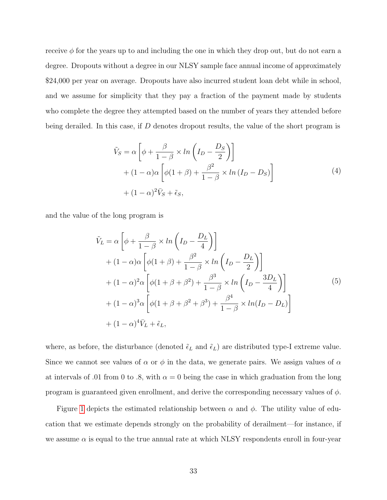receive  $\phi$  for the years up to and including the one in which they drop out, but do not earn a degree. Dropouts without a degree in our NLSY sample face annual income of approximately \$24,000 per year on average. Dropouts have also incurred student loan debt while in school, and we assume for simplicity that they pay a fraction of the payment made by students who complete the degree they attempted based on the number of years they attended before being derailed. In this case, if D denotes dropout results, the value of the short program is

$$
\tilde{V}_S = \alpha \left[ \phi + \frac{\beta}{1 - \beta} \times \ln \left( I_D - \frac{D_S}{2} \right) \right]
$$
  
+ 
$$
(1 - \alpha)\alpha \left[ \phi(1 + \beta) + \frac{\beta^2}{1 - \beta} \times \ln (I_D - D_S) \right]
$$
  
+ 
$$
(1 - \alpha)^2 \bar{V}_S + \tilde{\epsilon}_S,
$$
 (4)

and the value of the long program is

$$
\tilde{V}_L = \alpha \left[ \phi + \frac{\beta}{1 - \beta} \times \ln \left( I_D - \frac{D_L}{4} \right) \right]
$$
  
+  $(1 - \alpha)\alpha \left[ \phi(1 + \beta) + \frac{\beta^2}{1 - \beta} \times \ln \left( I_D - \frac{D_L}{2} \right) \right]$   
+  $(1 - \alpha)^2 \alpha \left[ \phi(1 + \beta + \beta^2) + \frac{\beta^3}{1 - \beta} \times \ln \left( I_D - \frac{3D_L}{4} \right) \right]$   
+  $(1 - \alpha)^3 \alpha \left[ \phi(1 + \beta + \beta^2 + \beta^3) + \frac{\beta^4}{1 - \beta} \times \ln(I_D - D_L) \right]$   
+  $(1 - \alpha)^4 \bar{V}_L + \tilde{\epsilon}_L$ , (5)

where, as before, the disturbance (denoted  $\tilde{\epsilon}_L$  and  $\tilde{\epsilon}_L$ ) are distributed type-I extreme value. Since we cannot see values of  $\alpha$  or  $\phi$  in the data, we generate pairs. We assign values of  $\alpha$ at intervals of .01 from 0 to .8, with  $\alpha = 0$  being the case in which graduation from the long program is guaranteed given enrollment, and derive the corresponding necessary values of  $\phi$ .

Figure [1](#page-55-0) depicts the estimated relationship between  $\alpha$  and  $\phi$ . The utility value of education that we estimate depends strongly on the probability of derailment—for instance, if we assume  $\alpha$  is equal to the true annual rate at which NLSY respondents enroll in four-year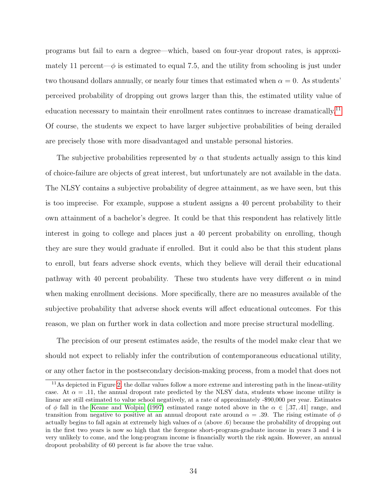programs but fail to earn a degree—which, based on four-year dropout rates, is approximately 11 percent— $\phi$  is estimated to equal 7.5, and the utility from schooling is just under two thousand dollars annually, or nearly four times that estimated when  $\alpha = 0$ . As students' perceived probability of dropping out grows larger than this, the estimated utility value of education necessary to maintain their enrollment rates continues to increase dramatically.<sup>[11](#page-34-0)</sup> Of course, the students we expect to have larger subjective probabilities of being derailed are precisely those with more disadvantaged and unstable personal histories.

The subjective probabilities represented by  $\alpha$  that students actually assign to this kind of choice-failure are objects of great interest, but unfortunately are not available in the data. The NLSY contains a subjective probability of degree attainment, as we have seen, but this is too imprecise. For example, suppose a student assigns a 40 percent probability to their own attainment of a bachelor's degree. It could be that this respondent has relatively little interest in going to college and places just a 40 percent probability on enrolling, though they are sure they would graduate if enrolled. But it could also be that this student plans to enroll, but fears adverse shock events, which they believe will derail their educational pathway with 40 percent probability. These two students have very different  $\alpha$  in mind when making enrollment decisions. More specifically, there are no measures available of the subjective probability that adverse shock events will affect educational outcomes. For this reason, we plan on further work in data collection and more precise structural modelling.

The precision of our present estimates aside, the results of the model make clear that we should not expect to reliably infer the contribution of contemporaneous educational utility, or any other factor in the postsecondary decision-making process, from a model that does not

<span id="page-34-0"></span><sup>&</sup>lt;sup>11</sup>As depicted in Figure [2,](#page-56-0) the dollar values follow a more extreme and interesting path in the linear-utility case. At  $\alpha = .11$ , the annual dropout rate predicted by the NLSY data, students whose income utility is linear are still estimated to value school negatively, at a rate of approximately -\$90,000 per year. Estimates of φ fall in the [Keane and Wolpin](#page-40-10) [\(1997\)](#page-40-10) estimated range noted above in the  $\alpha \in [.37, .41]$  range, and transition from negative to positive at an annual dropout rate around  $\alpha = 0.39$ . The rising estimate of  $\phi$ actually begins to fall again at extremely high values of  $\alpha$  (above .6) because the probability of dropping out in the first two years is now so high that the foregone short-program-graduate income in years 3 and 4 is very unlikely to come, and the long-program income is financially worth the risk again. However, an annual dropout probability of 60 percent is far above the true value.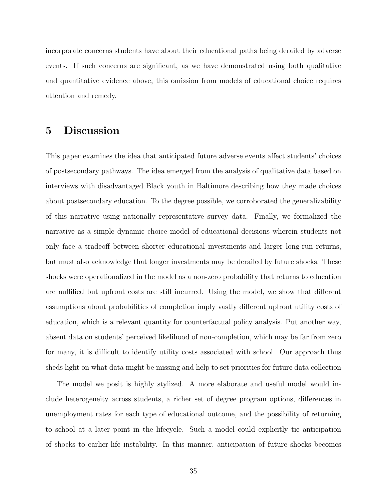incorporate concerns students have about their educational paths being derailed by adverse events. If such concerns are significant, as we have demonstrated using both qualitative and quantitative evidence above, this omission from models of educational choice requires attention and remedy.

### <span id="page-35-0"></span>5 Discussion

This paper examines the idea that anticipated future adverse events affect students' choices of postsecondary pathways. The idea emerged from the analysis of qualitative data based on interviews with disadvantaged Black youth in Baltimore describing how they made choices about postsecondary education. To the degree possible, we corroborated the generalizability of this narrative using nationally representative survey data. Finally, we formalized the narrative as a simple dynamic choice model of educational decisions wherein students not only face a tradeoff between shorter educational investments and larger long-run returns, but must also acknowledge that longer investments may be derailed by future shocks. These shocks were operationalized in the model as a non-zero probability that returns to education are nullified but upfront costs are still incurred. Using the model, we show that different assumptions about probabilities of completion imply vastly different upfront utility costs of education, which is a relevant quantity for counterfactual policy analysis. Put another way, absent data on students' perceived likelihood of non-completion, which may be far from zero for many, it is difficult to identify utility costs associated with school. Our approach thus sheds light on what data might be missing and help to set priorities for future data collection

The model we posit is highly stylized. A more elaborate and useful model would include heterogeneity across students, a richer set of degree program options, differences in unemployment rates for each type of educational outcome, and the possibility of returning to school at a later point in the lifecycle. Such a model could explicitly tie anticipation of shocks to earlier-life instability. In this manner, anticipation of future shocks becomes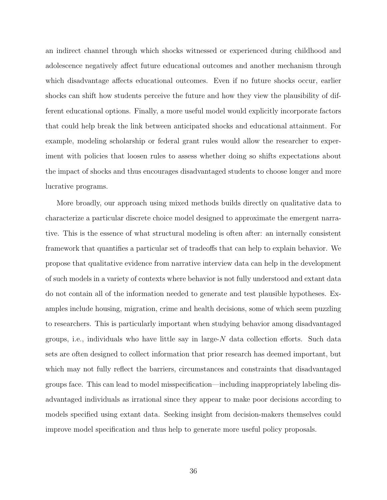an indirect channel through which shocks witnessed or experienced during childhood and adolescence negatively affect future educational outcomes and another mechanism through which disadvantage affects educational outcomes. Even if no future shocks occur, earlier shocks can shift how students perceive the future and how they view the plausibility of different educational options. Finally, a more useful model would explicitly incorporate factors that could help break the link between anticipated shocks and educational attainment. For example, modeling scholarship or federal grant rules would allow the researcher to experiment with policies that loosen rules to assess whether doing so shifts expectations about the impact of shocks and thus encourages disadvantaged students to choose longer and more lucrative programs.

More broadly, our approach using mixed methods builds directly on qualitative data to characterize a particular discrete choice model designed to approximate the emergent narrative. This is the essence of what structural modeling is often after: an internally consistent framework that quantifies a particular set of tradeoffs that can help to explain behavior. We propose that qualitative evidence from narrative interview data can help in the development of such models in a variety of contexts where behavior is not fully understood and extant data do not contain all of the information needed to generate and test plausible hypotheses. Examples include housing, migration, crime and health decisions, some of which seem puzzling to researchers. This is particularly important when studying behavior among disadvantaged groups, i.e., individuals who have little say in large-N data collection efforts. Such data sets are often designed to collect information that prior research has deemed important, but which may not fully reflect the barriers, circumstances and constraints that disadvantaged groups face. This can lead to model misspecification—including inappropriately labeling disadvantaged individuals as irrational since they appear to make poor decisions according to models specified using extant data. Seeking insight from decision-makers themselves could improve model specification and thus help to generate more useful policy proposals.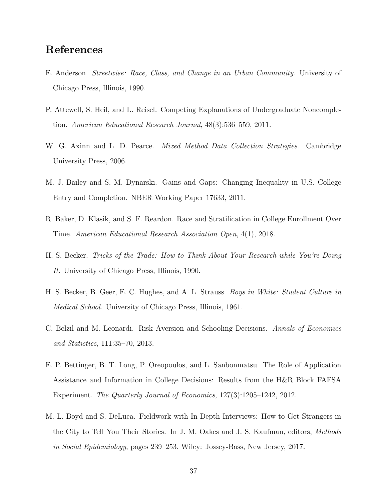# References

- <span id="page-37-7"></span>E. Anderson. Streetwise: Race, Class, and Change in an Urban Community. University of Chicago Press, Illinois, 1990.
- <span id="page-37-3"></span>P. Attewell, S. Heil, and L. Reisel. Competing Explanations of Undergraduate Noncompletion. American Educational Research Journal, 48(3):536–559, 2011.
- <span id="page-37-5"></span>W. G. Axinn and L. D. Pearce. *Mixed Method Data Collection Strategies*. Cambridge University Press, 2006.
- <span id="page-37-0"></span>M. J. Bailey and S. M. Dynarski. Gains and Gaps: Changing Inequality in U.S. College Entry and Completion. NBER Working Paper 17633, 2011.
- <span id="page-37-1"></span>R. Baker, D. Klasik, and S. F. Reardon. Race and Stratification in College Enrollment Over Time. American Educational Research Association Open, 4(1), 2018.
- <span id="page-37-8"></span>H. S. Becker. Tricks of the Trade: How to Think About Your Research while You're Doing It. University of Chicago Press, Illinois, 1990.
- <span id="page-37-6"></span>H. S. Becker, B. Geer, E. C. Hughes, and A. L. Strauss. Boys in White: Student Culture in Medical School. University of Chicago Press, Illinois, 1961.
- <span id="page-37-4"></span>C. Belzil and M. Leonardi. Risk Aversion and Schooling Decisions. Annals of Economics and Statistics, 111:35–70, 2013.
- <span id="page-37-2"></span>E. P. Bettinger, B. T. Long, P. Oreopoulos, and L. Sanbonmatsu. The Role of Application Assistance and Information in College Decisions: Results from the H&R Block FAFSA Experiment. The Quarterly Journal of Economics, 127(3):1205–1242, 2012.
- <span id="page-37-9"></span>M. L. Boyd and S. DeLuca. Fieldwork with In-Depth Interviews: How to Get Strangers in the City to Tell You Their Stories. In J. M. Oakes and J. S. Kaufman, editors, Methods in Social Epidemiology, pages 239–253. Wiley: Jossey-Bass, New Jersey, 2017.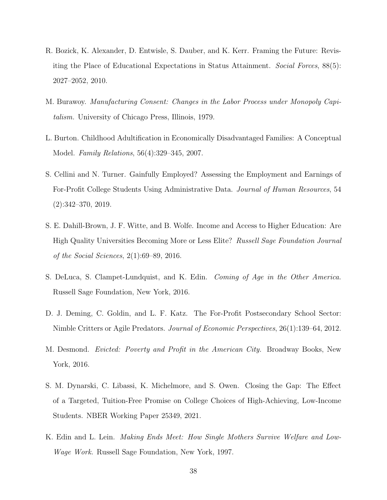- <span id="page-38-5"></span>R. Bozick, K. Alexander, D. Entwisle, S. Dauber, and K. Kerr. Framing the Future: Revisiting the Place of Educational Expectations in Status Attainment. Social Forces, 88(5): 2027–2052, 2010.
- <span id="page-38-8"></span>M. Burawoy. Manufacturing Consent: Changes in the Labor Process under Monopoly Capitalism. University of Chicago Press, Illinois, 1979.
- <span id="page-38-9"></span>L. Burton. Childhood Adultification in Economically Disadvantaged Families: A Conceptual Model. Family Relations, 56(4):329–345, 2007.
- <span id="page-38-2"></span>S. Cellini and N. Turner. Gainfully Employed? Assessing the Employment and Earnings of For-Profit College Students Using Administrative Data. Journal of Human Resources, 54 (2):342–370, 2019.
- <span id="page-38-0"></span>S. E. Dahill-Brown, J. F. Witte, and B. Wolfe. Income and Access to Higher Education: Are High Quality Universities Becoming More or Less Elite? Russell Sage Foundation Journal of the Social Sciences, 2(1):69–89, 2016.
- <span id="page-38-6"></span>S. DeLuca, S. Clampet-Lundquist, and K. Edin. Coming of Age in the Other America. Russell Sage Foundation, New York, 2016.
- <span id="page-38-1"></span>D. J. Deming, C. Goldin, and L. F. Katz. The For-Profit Postsecondary School Sector: Nimble Critters or Agile Predators. Journal of Economic Perspectives, 26(1):139–64, 2012.
- <span id="page-38-4"></span>M. Desmond. Evicted: Poverty and Profit in the American City. Broadway Books, New York, 2016.
- <span id="page-38-3"></span>S. M. Dynarski, C. Libassi, K. Michelmore, and S. Owen. Closing the Gap: The Effect of a Targeted, Tuition-Free Promise on College Choices of High-Achieving, Low-Income Students. NBER Working Paper 25349, 2021.
- <span id="page-38-7"></span>K. Edin and L. Lein. Making Ends Meet: How Single Mothers Survive Welfare and Low-Wage Work. Russell Sage Foundation, New York, 1997.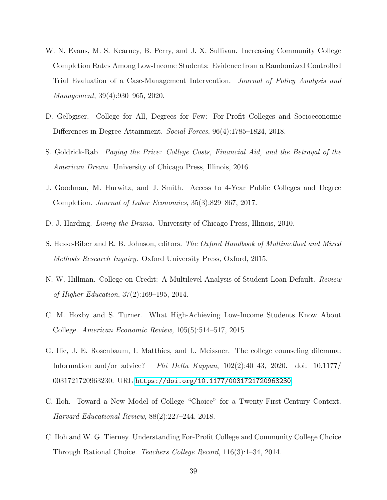- <span id="page-39-9"></span>W. N. Evans, M. S. Kearney, B. Perry, and J. X. Sullivan. Increasing Community College Completion Rates Among Low-Income Students: Evidence from a Randomized Controlled Trial Evaluation of a Case-Management Intervention. Journal of Policy Analysis and Management, 39(4):930–965, 2020.
- <span id="page-39-1"></span>D. Gelbgiser. College for All, Degrees for Few: For-Profit Colleges and Socioeconomic Differences in Degree Attainment. Social Forces, 96(4):1785–1824, 2018.
- <span id="page-39-5"></span>S. Goldrick-Rab. Paying the Price: College Costs, Financial Aid, and the Betrayal of the American Dream. University of Chicago Press, Illinois, 2016.
- <span id="page-39-2"></span>J. Goodman, M. Hurwitz, and J. Smith. Access to 4-Year Public Colleges and Degree Completion. Journal of Labor Economics, 35(3):829–867, 2017.
- <span id="page-39-6"></span>D. J. Harding. Living the Drama. University of Chicago Press, Illinois, 2010.
- <span id="page-39-10"></span>S. Hesse-Biber and R. B. Johnson, editors. The Oxford Handbook of Multimethod and Mixed Methods Research Inquiry. Oxford University Press, Oxford, 2015.
- <span id="page-39-0"></span>N. W. Hillman. College on Credit: A Multilevel Analysis of Student Loan Default. Review of Higher Education, 37(2):169–195, 2014.
- <span id="page-39-3"></span>C. M. Hoxby and S. Turner. What High-Achieving Low-Income Students Know About College. American Economic Review, 105(5):514–517, 2015.
- <span id="page-39-4"></span>G. Ilic, J. E. Rosenbaum, I. Matthies, and L. Meissner. The college counseling dilemma: Information and/or advice? Phi Delta Kappan, 102(2):40–43, 2020. doi: 10.1177/ 0031721720963230. URL <https://doi.org/10.1177/0031721720963230>.
- <span id="page-39-7"></span>C. Iloh. Toward a New Model of College "Choice" for a Twenty-First-Century Context. Harvard Educational Review, 88(2):227–244, 2018.
- <span id="page-39-8"></span>C. Iloh and W. G. Tierney. Understanding For-Profit College and Community College Choice Through Rational Choice. Teachers College Record, 116(3):1–34, 2014.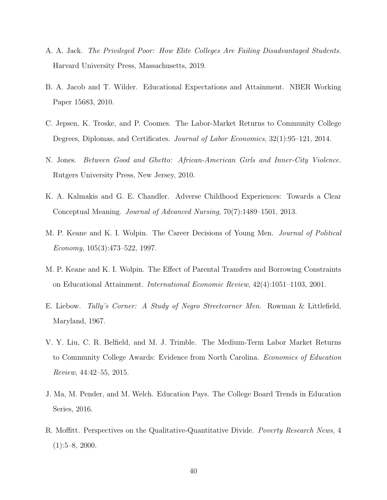- <span id="page-40-4"></span>A. A. Jack. The Privileged Poor: How Elite Colleges Are Failing Disadvantaged Students. Harvard University Press, Massachusetts, 2019.
- <span id="page-40-6"></span>B. A. Jacob and T. Wilder. Educational Expectations and Attainment. NBER Working Paper 15683, 2010.
- <span id="page-40-1"></span>C. Jepsen, K. Troske, and P. Coomes. The Labor-Market Returns to Community College Degrees, Diplomas, and Certificates. Journal of Labor Economics, 32(1):95–121, 2014.
- <span id="page-40-5"></span>N. Jones. Between Good and Ghetto: African-American Girls and Inner-City Violence. Rutgers University Press, New Jersey, 2010.
- <span id="page-40-9"></span>K. A. Kalmakis and G. E. Chandler. Adverse Childhood Experiences: Towards a Clear Conceptual Meaning. Journal of Advanced Nursing, 70(7):1489–1501, 2013.
- <span id="page-40-10"></span>M. P. Keane and K. I. Wolpin. The Career Decisions of Young Men. Journal of Political Economy, 105(3):473–522, 1997.
- <span id="page-40-3"></span>M. P. Keane and K. I. Wolpin. The Effect of Parental Transfers and Borrowing Constraints on Educational Attainment. International Economic Review, 42(4):1051–1103, 2001.
- <span id="page-40-8"></span>E. Liebow. Tally's Corner: A Study of Negro Streetcorner Men. Rowman & Littlefield, Maryland, 1967.
- <span id="page-40-0"></span>V. Y. Liu, C. R. Belfield, and M. J. Trimble. The Medium-Term Labor Market Returns to Community College Awards: Evidence from North Carolina. Economics of Education Review, 44:42–55, 2015.
- <span id="page-40-2"></span>J. Ma, M. Pender, and M. Welch. Education Pays. The College Board Trends in Education Series, 2016.
- <span id="page-40-7"></span>R. Moffitt. Perspectives on the Qualitative-Quantitative Divide. Poverty Research News, 4  $(1):5-8, 2000.$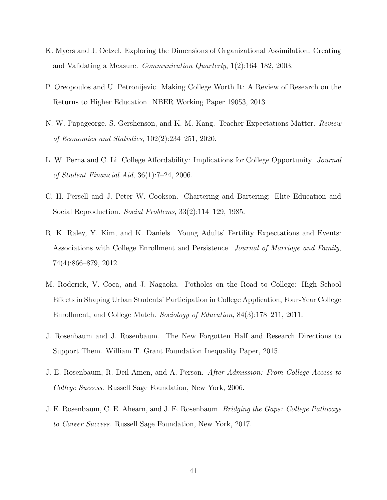- <span id="page-41-9"></span>K. Myers and J. Oetzel. Exploring the Dimensions of Organizational Assimilation: Creating and Validating a Measure. Communication Quarterly, 1(2):164–182, 2003.
- <span id="page-41-2"></span>P. Oreopoulos and U. Petronijevic. Making College Worth It: A Review of Research on the Returns to Higher Education. NBER Working Paper 19053, 2013.
- <span id="page-41-8"></span>N. W. Papageorge, S. Gershenson, and K. M. Kang. Teacher Expectations Matter. Review of Economics and Statistics, 102(2):234–251, 2020.
- <span id="page-41-3"></span>L. W. Perna and C. Li. College Affordability: Implications for College Opportunity. Journal of Student Financial Aid, 36(1):7–24, 2006.
- <span id="page-41-5"></span>C. H. Persell and J. Peter W. Cookson. Chartering and Bartering: Elite Education and Social Reproduction. Social Problems, 33(2):114–129, 1985.
- <span id="page-41-7"></span>R. K. Raley, Y. Kim, and K. Daniels. Young Adults' Fertility Expectations and Events: Associations with College Enrollment and Persistence. Journal of Marriage and Family, 74(4):866–879, 2012.
- <span id="page-41-4"></span>M. Roderick, V. Coca, and J. Nagaoka. Potholes on the Road to College: High School Effects in Shaping Urban Students' Participation in College Application, Four-Year College Enrollment, and College Match. Sociology of Education, 84(3):178–211, 2011.
- <span id="page-41-1"></span>J. Rosenbaum and J. Rosenbaum. The New Forgotten Half and Research Directions to Support Them. William T. Grant Foundation Inequality Paper, 2015.
- <span id="page-41-6"></span>J. E. Rosenbaum, R. Deil-Amen, and A. Person. After Admission: From College Access to College Success. Russell Sage Foundation, New York, 2006.
- <span id="page-41-0"></span>J. E. Rosenbaum, C. E. Ahearn, and J. E. Rosenbaum. Bridging the Gaps: College Pathways to Career Success. Russell Sage Foundation, New York, 2017.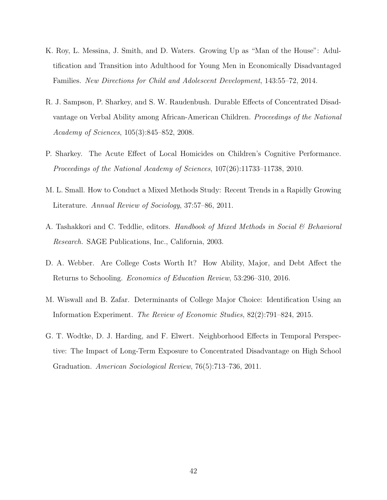- <span id="page-42-7"></span>K. Roy, L. Messina, J. Smith, and D. Waters. Growing Up as "Man of the House": Adultification and Transition into Adulthood for Young Men in Economically Disadvantaged Families. New Directions for Child and Adolescent Development, 143:55–72, 2014.
- <span id="page-42-3"></span>R. J. Sampson, P. Sharkey, and S. W. Raudenbush. Durable Effects of Concentrated Disadvantage on Verbal Ability among African-American Children. Proceedings of the National Academy of Sciences, 105(3):845–852, 2008.
- <span id="page-42-2"></span>P. Sharkey. The Acute Effect of Local Homicides on Children's Cognitive Performance. Proceedings of the National Academy of Sciences, 107(26):11733–11738, 2010.
- <span id="page-42-5"></span>M. L. Small. How to Conduct a Mixed Methods Study: Recent Trends in a Rapidly Growing Literature. Annual Review of Sociology, 37:57–86, 2011.
- <span id="page-42-6"></span>A. Tashakkori and C. Teddlie, editors. Handbook of Mixed Methods in Social & Behavioral Research. SAGE Publications, Inc., California, 2003.
- <span id="page-42-0"></span>D. A. Webber. Are College Costs Worth It? How Ability, Major, and Debt Affect the Returns to Schooling. Economics of Education Review, 53:296–310, 2016.
- <span id="page-42-4"></span>M. Wiswall and B. Zafar. Determinants of College Major Choice: Identification Using an Information Experiment. The Review of Economic Studies, 82(2):791–824, 2015.
- <span id="page-42-1"></span>G. T. Wodtke, D. J. Harding, and F. Elwert. Neighborhood Effects in Temporal Perspective: The Impact of Long-Term Exposure to Concentrated Disadvantage on High School Graduation. American Sociological Review, 76(5):713–736, 2011.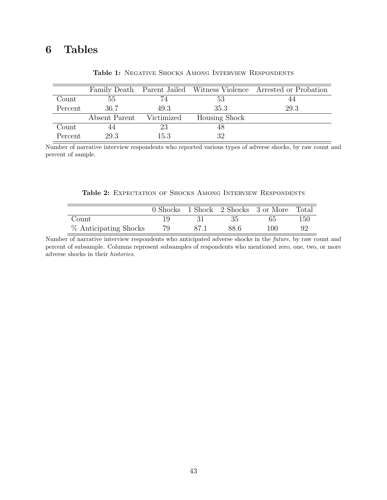# 6 Tables

<span id="page-43-0"></span>

|         |               |            |                      | Family Death Parent Jailed Witness Violence Arrested or Probation |
|---------|---------------|------------|----------------------|-------------------------------------------------------------------|
| Count   | 55            |            | -53                  | 44                                                                |
| Percent | 36.7          | 49.3       | 35.3                 | 29.3                                                              |
|         | Absent Parent | Victimized | <b>Housing Shock</b> |                                                                   |
| Count   |               | 23         |                      |                                                                   |
| Percent | 29.3          | 15.3       | 32                   |                                                                   |

Table 1: NEGATIVE SHOCKS AMONG INTERVIEW RESPONDENTS

Number of narrative interview respondents who reported various types of adverse shocks, by raw count and percent of sample.

|  |  | Table 2: EXPECTATION OF SHOCKS AMONG INTERVIEW RESPONDENTS |  |  |  |  |  |
|--|--|------------------------------------------------------------|--|--|--|--|--|
|--|--|------------------------------------------------------------|--|--|--|--|--|

<span id="page-43-1"></span>

|                       |    |      | 0 Shocks 1 Shock 2 Shocks 3 or More Total |     |
|-----------------------|----|------|-------------------------------------------|-----|
| Count                 |    | 35   | 65                                        | 150 |
| % Anticipating Shocks | 79 | 88.6 | 100                                       |     |

Number of narrative interview respondents who anticipated adverse shocks in the future, by raw count and percent of subsample. Columns represent subsamples of respondents who mentioned zero, one, two, or more adverse shocks in their histories.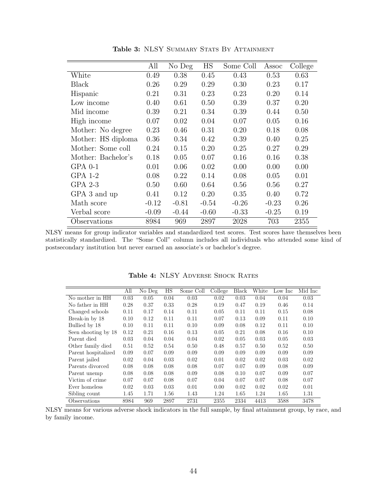<span id="page-44-0"></span>

|                    | All     | No Deg  | HS      | Some Coll | Assoc   | College |
|--------------------|---------|---------|---------|-----------|---------|---------|
| White              | 0.49    | 0.38    | 0.45    | 0.43      | 0.53    | 0.63    |
| Black              | 0.26    | 0.29    | 0.29    | 0.30      | 0.23    | 0.17    |
| Hispanic           | 0.21    | 0.31    | 0.23    | 0.23      | 0.20    | 0.14    |
| Low income         | 0.40    | 0.61    | 0.50    | 0.39      | 0.37    | 0.20    |
| Mid income         | 0.39    | 0.21    | 0.34    | 0.39      | 0.44    | 0.50    |
| High income        | 0.07    | 0.02    | 0.04    | 0.07      | 0.05    | 0.16    |
| Mother: No degree  | 0.23    | 0.46    | 0.31    | 0.20      | 0.18    | 0.08    |
| Mother: HS diploma | 0.36    | 0.34    | 0.42    | 0.39      | 0.40    | 0.25    |
| Mother: Some coll  | 0.24    | 0.15    | 0.20    | 0.25      | 0.27    | 0.29    |
| Mother: Bachelor's | 0.18    | 0.05    | 0.07    | 0.16      | 0.16    | 0.38    |
| $GPA$ 0-1          | 0.01    | 0.06    | 0.02    | 0.00      | 0.00    | 0.00    |
| $GPA$ 1-2          | 0.08    | 0.22    | 0.14    | 0.08      | 0.05    | 0.01    |
| $GPA$ 2-3          | 0.50    | 0.60    | 0.64    | 0.56      | 0.56    | 0.27    |
| GPA 3 and up       | 0.41    | 0.12    | 0.20    | 0.35      | 0.40    | 0.72    |
| Math score         | $-0.12$ | $-0.81$ | $-0.54$ | $-0.26$   | $-0.23$ | 0.26    |
| Verbal score       | $-0.09$ | $-0.44$ | $-0.60$ | $-0.33$   | $-0.25$ | 0.19    |
| Observations       | 8984    | 969     | 2897    | 2028      | 703     | 2355    |

Table 3: NLSY SUMMARY STATS BY ATTAINMENT

NLSY means for group indicator variables and standardized test scores. Test scores have themselves been statistically standardized. The "Some Coll" column includes all individuals who attended some kind of postsecondary institution but never earned an associate's or bachelor's degree.

<span id="page-44-1"></span>

|                     | All  | No Deg | HS   | Some Coll | $\overline{\text{College}}$ | <b>Black</b> | White | Low Inc | Mid Inc |
|---------------------|------|--------|------|-----------|-----------------------------|--------------|-------|---------|---------|
| No mother in HH     | 0.03 | 0.05   | 0.04 | 0.03      | 0.02                        | 0.03         | 0.04  | 0.04    | 0.03    |
| No father in HH     | 0.28 | 0.37   | 0.33 | 0.28      | 0.19                        | 0.47         | 0.19  | 0.46    | 0.14    |
| Changed schools     | 0.11 | 0.17   | 0.14 | 0.11      | 0.05                        | 0.11         | 0.11  | 0.15    | 0.08    |
| Break-in by 18      | 0.10 | 0.12   | 0.11 | 0.11      | 0.07                        | 0.13         | 0.09  | 0.11    | 0.10    |
| Bullied by 18       | 0.10 | 0.11   | 0.11 | 0.10      | 0.09                        | 0.08         | 0.12  | 0.11    | 0.10    |
| Seen shooting by 18 | 0.12 | 0.21   | 0.16 | 0.13      | 0.05                        | 0.21         | 0.08  | 0.16    | 0.10    |
| Parent died         | 0.03 | 0.04   | 0.04 | 0.04      | 0.02                        | 0.05         | 0.03  | 0.05    | 0.03    |
| Other family died   | 0.51 | 0.52   | 0.54 | 0.50      | 0.48                        | 0.57         | 0.50  | 0.52    | 0.50    |
| Parent hospitalized | 0.09 | 0.07   | 0.09 | 0.09      | 0.09                        | 0.09         | 0.09  | 0.09    | 0.09    |
| Parent jailed       | 0.02 | 0.04   | 0.03 | 0.02      | 0.01                        | 0.02         | 0.02  | 0.03    | 0.02    |
| Parents divorced    | 0.08 | 0.08   | 0.08 | 0.08      | 0.07                        | 0.07         | 0.09  | 0.08    | 0.09    |
| Parent unemp        | 0.08 | 0.08   | 0.08 | 0.09      | 0.08                        | 0.10         | 0.07  | 0.09    | 0.07    |
| Victim of crime     | 0.07 | 0.07   | 0.08 | 0.07      | 0.04                        | 0.07         | 0.07  | 0.08    | 0.07    |
| Ever homeless       | 0.02 | 0.03   | 0.03 | 0.01      | 0.00                        | 0.02         | 0.02  | 0.02    | 0.01    |
| Sibling count       | 1.45 | 1.71   | 1.56 | 1.43      | 1.24                        | 1.65         | 1.24  | 1.65    | 1.31    |
| Observations        | 8984 | 969    | 2897 | 2731      | 2355                        | 2334         | 4413  | 3588    | 3478    |

Table 4: NLSY ADVERSE SHOCK RATES

NLSY means for various adverse shock indicators in the full sample, by final attainment group, by race, and by family income.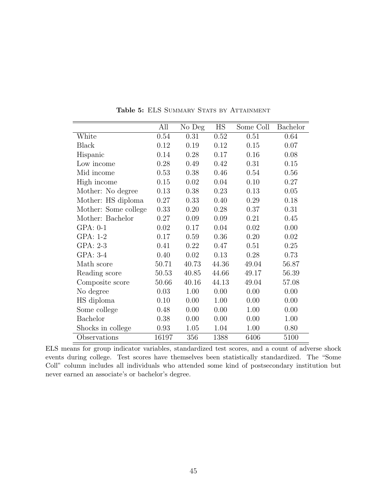<span id="page-45-0"></span>

|                      | All   | No Deg | $\mathop{\rm HS}\nolimits$ | Some Coll | Bachelor |
|----------------------|-------|--------|----------------------------|-----------|----------|
| White                | 0.54  | 0.31   | 0.52                       | 0.51      | 0.64     |
| <b>Black</b>         | 0.12  | 0.19   | 0.12                       | 0.15      | 0.07     |
| Hispanic             | 0.14  | 0.28   | 0.17                       | 0.16      | 0.08     |
| Low income           | 0.28  | 0.49   | 0.42                       | 0.31      | 0.15     |
| Mid income           | 0.53  | 0.38   | 0.46                       | 0.54      | 0.56     |
| High income          | 0.15  | 0.02   | 0.04                       | 0.10      | 0.27     |
| Mother: No degree    | 0.13  | 0.38   | 0.23                       | 0.13      | 0.05     |
| Mother: HS diploma   | 0.27  | 0.33   | 0.40                       | 0.29      | 0.18     |
| Mother: Some college | 0.33  | 0.20   | 0.28                       | 0.37      | 0.31     |
| Mother: Bachelor     | 0.27  | 0.09   | 0.09                       | 0.21      | 0.45     |
| $GPA: 0-1$           | 0.02  | 0.17   | 0.04                       | 0.02      | 0.00     |
| GPA: 1-2             | 0.17  | 0.59   | 0.36                       | 0.20      | 0.02     |
| GPA: 2-3             | 0.41  | 0.22   | 0.47                       | 0.51      | 0.25     |
| GPA: 3-4             | 0.40  | 0.02   | 0.13                       | 0.28      | 0.73     |
| Math score           | 50.71 | 40.73  | 44.36                      | 49.04     | 56.87    |
| Reading score        | 50.53 | 40.85  | 44.66                      | 49.17     | 56.39    |
| Composite score      | 50.66 | 40.16  | 44.13                      | 49.04     | 57.08    |
| No degree            | 0.03  | 1.00   | 0.00                       | 0.00      | 0.00     |
| HS diploma           | 0.10  | 0.00   | 1.00                       | 0.00      | 0.00     |
| Some college         | 0.48  | 0.00   | 0.00                       | 1.00      | 0.00     |
| <b>Bachelor</b>      | 0.38  | 0.00   | 0.00                       | 0.00      | 1.00     |
| Shocks in college    | 0.93  | 1.05   | 1.04                       | 1.00      | 0.80     |
| Observations         | 16197 | 356    | 1388                       | 6406      | 5100     |

Table 5: ELS SUMMARY STATS BY ATTAINMENT

ELS means for group indicator variables, standardized test scores, and a count of adverse shock events during college. Test scores have themselves been statistically standardized. The "Some Coll" column includes all individuals who attended some kind of postsecondary institution but never earned an associate's or bachelor's degree.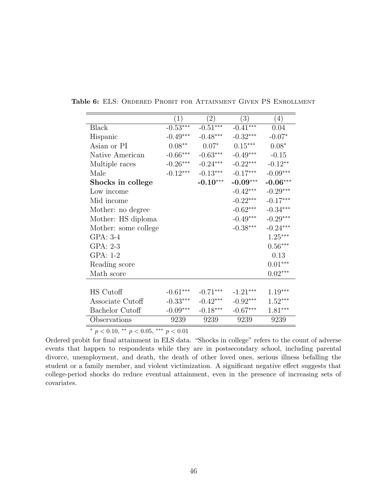|                      | $\left( 1\right)$ | (2)        | (3)        | (4)                   |
|----------------------|-------------------|------------|------------|-----------------------|
| <b>Black</b>         | $-0.53***$        | $-0.51***$ | $-0.41***$ | 0.04                  |
| Hispanic             | $-0.49***$        | $-0.48***$ | $-0.32***$ | $-0.07*$              |
| Asian or PI          | $0.08^{\ast\ast}$ | $0.07*$    | $0.15***$  | $0.08*$               |
| Native American      | $-0.66***$        | $-0.63***$ | $-0.49***$ | $-0.15$               |
| Multiple races       | $\text{-}0.26***$ | $-0.24***$ | $-0.22***$ | $-0.12**$             |
| Male                 | $-0.12***$        | $-0.13***$ | $-0.17***$ | $-0.09***$            |
| Shocks in college    |                   | $-0.10***$ | $-0.09***$ | $-0.06***$            |
| Low income           |                   |            | $-0.42***$ | $-0.29***$            |
| Mid income           |                   |            | $-0.22***$ | $-0.17***$            |
| Mother: no degree    |                   |            | $-0.62***$ | $-0.34***$            |
| Mother: HS diploma   |                   |            | $-0.49***$ | $-0.29***$            |
| Mother: some college |                   |            | $-0.38***$ | $-0.24***$            |
| GPA: 3-4             |                   |            |            | $1.25^{\ast\ast\ast}$ |
| GPA: 2-3             |                   |            |            | $0.56***$             |
| GPA: 1-2             |                   |            |            | 0.13                  |
| Reading score        |                   |            |            | $0.01***$             |
| Math score           |                   |            |            | $0.02***$             |
|                      |                   |            |            |                       |
| HS Cutoff            | $-0.61***$        | $-0.71***$ | $-1.21***$ | $1.19***$             |
| Associate Cutoff     | $-0.33***$        | $-0.42***$ | $-0.92***$ | $1.52***$             |
| Bachelor Cutoff      | $-0.09***$        | $-0.18***$ | $-0.67***$ | $1.81***$             |
| Observations         | 9239              | 9239       | 9239       | 9239                  |

<span id="page-46-0"></span>Table 6: ELS: Ordered Probit for Attainment Given PS Enrollment

 $\frac{p}{p}$  < 0.10, \*\*  $p$  < 0.05, \*\*\*  $p$  < 0.01

Ordered probit for final attainment in ELS data. "Shocks in college" refers to the count of adverse events that happen to respondents while they are in postsecondary school, including parental divorce, unemployment, and death, the death of other loved ones, serious illness befalling the student or a family member, and violent victimization. A significant negative effect suggests that college-period shocks do reduce eventual attainment, even in the presence of increasing sets of covariates.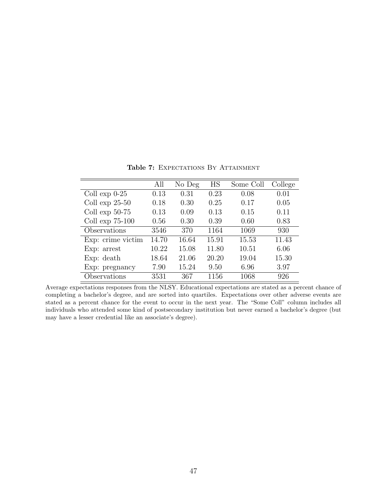<span id="page-47-0"></span>

|                    | All   | No Deg | HS    | Some Coll | College |
|--------------------|-------|--------|-------|-----------|---------|
| Coll $\exp 0-25$   | 0.13  | 0.31   | 0.23  | 0.08      | 0.01    |
| Coll $\exp 25-50$  | 0.18  | 0.30   | 0.25  | 0.17      | 0.05    |
| Coll $\exp 50-75$  | 0.13  | 0.09   | 0.13  | 0.15      | 0.11    |
| Coll $\exp$ 75-100 | 0.56  | 0.30   | 0.39  | 0.60      | 0.83    |
| Observations       | 3546  | 370    | 1164  | 1069      | 930     |
| Exp: crime victim  | 14.70 | 16.64  | 15.91 | 15.53     | 11.43   |
| $Exp:$ arrest      | 10.22 | 15.08  | 11.80 | 10.51     | 6.06    |
| $Exp:$ death       | 18.64 | 21.06  | 20.20 | 19.04     | 15.30   |
| Exp: pregnancy     | 7.90  | 15.24  | 9.50  | 6.96      | 3.97    |
| Observations       | 3531  | 367    | 1156  | 1068      | 926     |

Table 7: EXPECTATIONS BY ATTAINMENT

Average expectations responses from the NLSY. Educational expectations are stated as a percent chance of completing a bachelor's degree, and are sorted into quartiles. Expectations over other adverse events are stated as a percent chance for the event to occur in the next year. The "Some Coll" column includes all individuals who attended some kind of postsecondary institution but never earned a bachelor's degree (but may have a lesser credential like an associate's degree).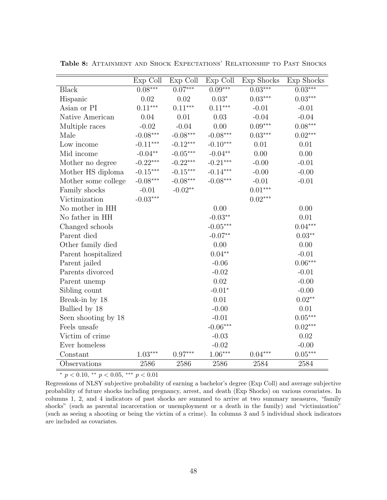|                     | Exp Coll   | Exp Coll                   | Exp Coll   | Exp Shocks | Exp Shocks            |
|---------------------|------------|----------------------------|------------|------------|-----------------------|
| <b>Black</b>        | $0.08***$  | $0.07***$                  | $0.09***$  | $0.03***$  | $0.03***$             |
| Hispanic            | 0.02       | 0.02                       | $0.03*$    | $0.03***$  | $0.03***$             |
| Asian or PI         | $0.11***$  | $0.11***$                  | $0.11***$  | $-0.01$    | $-0.01$               |
| Native American     | 0.04       | 0.01                       | 0.03       | $-0.04$    | $-0.04$               |
| Multiple races      | $-0.02$    | $-0.04$                    | 0.00       | $0.09***$  | $0.08***$             |
| Male                | $-0.08***$ | $-0.08***$                 | $-0.08***$ | $0.03***$  | $0.02***$             |
| Low income          | $-0.11***$ | $\textnormal{-}0.12^{***}$ | $-0.10***$ | 0.01       | 0.01                  |
| Mid income          | $-0.04**$  | $-0.05***$                 | $-0.04**$  | 0.00       | 0.00                  |
| Mother no degree    | $-0.22***$ | $-0.22***$                 | $-0.21***$ | $-0.00$    | $-0.01$               |
| Mother HS diploma   | $-0.15***$ | $\textnormal{-}0.15^{***}$ | $-0.14***$ | $-0.00$    | $-0.00$               |
| Mother some college | $-0.08***$ | $-0.08***$                 | $-0.08***$ | $-0.01$    | $-0.01$               |
| Family shocks       | $-0.01$    | $-0.02**$                  |            | $0.01***$  |                       |
| Victimization       | $-0.03***$ |                            |            | $0.02***$  |                       |
| No mother in HH     |            |                            | 0.00       |            | 0.00                  |
| No father in HH     |            |                            | $-0.03**$  |            | 0.01                  |
| Changed schools     |            |                            | $-0.05***$ |            | $0.04***$             |
| Parent died         |            |                            | $-0.07**$  |            | $0.03**$              |
| Other family died   |            |                            | 0.00       |            | 0.00                  |
| Parent hospitalized |            |                            | $0.04**$   |            | $-0.01$               |
| Parent jailed       |            |                            | $-0.06$    |            | $0.06^{\ast\ast\ast}$ |
| Parents divorced    |            |                            | $-0.02$    |            | $-0.01$               |
| Parent unemp        |            |                            | 0.02       |            | $-0.00$               |
| Sibling count       |            |                            | $-0.01*$   |            | $-0.00$               |
| Break-in by 18      |            |                            | 0.01       |            | $0.02**$              |
| Bullied by 18       |            |                            | $-0.00$    |            | 0.01                  |
| Seen shooting by 18 |            |                            | $-0.01$    |            | $0.05***$             |
| Feels unsafe        |            |                            | $-0.06***$ |            | $0.02***$             |
| Victim of crime     |            |                            | $-0.03$    |            | 0.02                  |
| Ever homeless       |            |                            | $-0.02$    |            | $-0.00$               |
| Constant            | $1.03***$  | $0.97***$                  | $1.06***$  | $0.04***$  | $0.05***$             |
| Observations        | 2586       | 2586                       | 2586       | 2584       | 2584                  |

<span id="page-48-0"></span>Table 8: ATTAINMENT AND SHOCK EXPECTATIONS' RELATIONSHIP TO PAST SHOCKS

 $\frac{1}{\sqrt{p}}$  + p < 0.10, \*\* p < 0.05, \*\*\* p < 0.01

Regressions of NLSY subjective probability of earning a bachelor's degree (Exp Coll) and average subjective probability of future shocks including pregnancy, arrest, and death (Exp Shocks) on various covariates. In columns 1, 2, and 4 indicators of past shocks are summed to arrive at two summary measures, "family shocks" (such as parental incarceration or unemployment or a death in the family) and "victimization" (such as seeing a shooting or being the victim of a crime). In columns 3 and 5 individual shock indicators are included as covariates.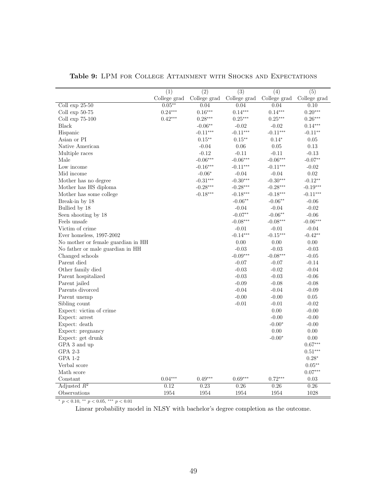<span id="page-49-0"></span>

|                                    | $\overline{(1)}$ | $\overline{(2)}$ | $\overline{(3)}$ | $\overline{(4)}$ | $\overline{(5)}$                               |
|------------------------------------|------------------|------------------|------------------|------------------|------------------------------------------------|
|                                    | College grad     | College grad     | College grad     | College grad     | $\operatorname{College}$ $\operatorname{grad}$ |
| Coll $\exp 25-50$                  | $0.05**$         | 0.04             | 0.04             | 0.04             | 0.10                                           |
| Coll exp $50-75$                   | $0.24***$        | $0.16***$        | $0.14***$        | $0.14***$        | $0.20***$                                      |
| Coll $\exp 75-100$                 | $0.42***$        | $0.28***$        | $0.25***$        | $0.25***$        | $0.26***$                                      |
| <b>Black</b>                       |                  | $-0.06**$        | $-0.02$          | $-0.02$          | $0.14***$                                      |
| Hispanic                           |                  | $-0.11***$       | $-0.11***$       | $-0.11***$       | $-0.11**$                                      |
| Asian or PI                        |                  | $0.15***$        | $0.15***$        | $0.14*$          | 0.05                                           |
| Native American                    |                  | $-0.04$          | 0.06             | 0.05             | 0.13                                           |
| Multiple races                     |                  | $-0.12$          | $-0.11$          | $-0.11$          | $-0.13$                                        |
| Male                               |                  | $-0.06***$       | $-0.06***$       | $-0.06***$       | $-0.07**$                                      |
| Low income                         |                  | $-0.16***$       | $-0.11***$       | $-0.11***$       | $-0.02$                                        |
| Mid income                         |                  | $-0.06*$         | $-0.04$          | $-0.04$          | 0.02                                           |
| Mother has no degree               |                  | $-0.31***$       | $-0.30***$       | $-0.30***$       | $-0.12**$                                      |
| Mother has HS diploma              |                  | $-0.28***$       | $-0.28***$       | $-0.28***$       | $-0.19***$                                     |
| Mother has some college            |                  | $-0.18***$       | $-0.18***$       | $-0.18***$       | $-0.11***$                                     |
| Break-in by 18                     |                  |                  | $-0.06**$        | $-0.06**$        | $-0.06$                                        |
| Bullied by 18                      |                  |                  | $-0.04$          | $-0.04$          | $-0.02$                                        |
| Seen shooting by 18                |                  |                  | $-0.07**$        | $-0.06**$        | $-0.06$                                        |
| Feels unsafe                       |                  |                  | $-0.08***$       | $-0.08***$       | $-0.06***$                                     |
| Victim of crime                    |                  |                  | $-0.01$          | $-0.01$          | $-0.04$                                        |
| Ever homeless, 1997-2002           |                  |                  | $-0.14***$       | $-0.15***$       | $-0.42**$                                      |
| No mother or female guardian in HH |                  |                  | 0.00             | $0.00\,$         | $0.00\,$                                       |
| No father or male guardian in HH   |                  |                  | $-0.03$          | $-0.03$          | $-0.03$                                        |
| Changed schools                    |                  |                  | $-0.09***$       | $-0.08***$       | $-0.05$                                        |
| Parent died                        |                  |                  | $-0.07$          | $-0.07$          | $-0.14$                                        |
| Other family died                  |                  |                  | $-0.03$          | $-0.02$          | $-0.04$                                        |
| Parent hospitalized                |                  |                  | $-0.03$          | $-0.03$          | $-0.06$                                        |
| Parent jailed                      |                  |                  | $-0.09$          | $-0.08$          | $-0.08$                                        |
| Parents divorced                   |                  |                  | $-0.04$          | $-0.04$          | $-0.09$                                        |
| Parent unemp                       |                  |                  | $-0.00$          | $-0.00$          | $0.05\,$                                       |
| Sibling count                      |                  |                  | $-0.01$          | $-0.01$          | $-0.02$                                        |
| Expect: victim of crime            |                  |                  |                  | 0.00             | $-0.00$                                        |
| Expect: arrest                     |                  |                  |                  | $-0.00$          | $-0.00$                                        |
| Expect: death                      |                  |                  |                  | $-0.00*$         | $-0.00$                                        |
| Expect: pregnancy                  |                  |                  |                  | 0.00             | 0.00                                           |
| Expect: get drunk                  |                  |                  |                  | $-0.00*$         | $0.00\,$                                       |
| GPA 3 and up                       |                  |                  |                  |                  | $0.67***$                                      |
| GPA 2-3                            |                  |                  |                  |                  | $0.51***$                                      |
| GPA 1-2                            |                  |                  |                  |                  | $0.28*$                                        |
| Verbal score                       |                  |                  |                  |                  | $0.05***$                                      |
| Math score                         |                  |                  |                  |                  | $0.07***$                                      |
| Constant                           | $0.04***$        | $0.49***$        | $0.69***$        | $0.72***$        | 0.03                                           |
| Adjusted $R^2$                     | 0.12             | 0.23             | 0.26             | 0.26             | 0.26                                           |
| Observations                       | 1954             | 1954             | 1954             | 1954             | 1028                                           |

Table 9: LPM FOR COLLEGE ATTAINMENT WITH SHOCKS AND EXPECTATIONS

 $\overline{\rule[-0.2cm]{0pt}{2.0cm} \rule[-0.2cm]{0pt}{2.0cm} \hspace{1.0cm} \hspace{1.0cm} \cdot \ p \, < 0.10, \, \rule[-0.2cm]{0pt}{2.0cm} \hspace{1.0cm} \cdot \ p \, < 0.05, \, \rule[-0.2cm]{0pt}{2.0cm} \hspace{1.0cm} \cdot \ p \, < 0.01}$ 

Linear probability model in NLSY with bachelor's degree completion as the outcome.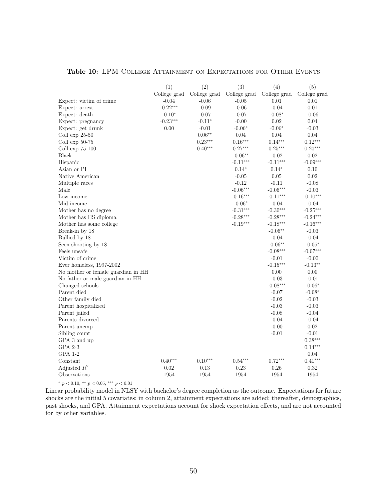|                                    | $\overline{(1)}$ | $\overline{(2)}$ | $\overline{(3)}$ | $\overline{(4)}$          | $\overline{(5)}$ |
|------------------------------------|------------------|------------------|------------------|---------------------------|------------------|
|                                    | College grad     | College grad     | College grad     | College grad College grad |                  |
| Expect: victim of crime            | $-0.04$          | $-0.06$          | $-0.05$          | 0.01                      | 0.01             |
| Expect: arrest                     | $-0.22***$       | $-0.09$          | $-0.06$          | $-0.04$                   | 0.01             |
| Expect: death                      | $-0.10*$         | $-0.07$          | $-0.07$          | $-0.08*$                  | $-0.06$          |
| Expect: pregnancy                  | $-0.23***$       | $-0.11*$         | $-0.00$          | 0.02                      | 0.04             |
| Expect: get drunk                  | 0.00             | $-0.01$          | $-0.06*$         | $-0.06*$                  | $-0.03$          |
| Coll $\exp 25-50$                  |                  | $0.06**$         | $0.04\,$         | $0.04\,$                  | $0.04\,$         |
| Coll $\exp 50-75$                  |                  | $0.23***$        | $0.16***$        | $0.14***$                 | $0.12***$        |
| Coll $\exp$ 75-100                 |                  | $0.40***$        | $0.27***$        | $0.25***$                 | $0.20***$        |
| Black                              |                  |                  | $-0.06**$        | $-0.02$                   | 0.02             |
| Hispanic                           |                  |                  | $-0.11***$       | $-0.11***$                | $-0.09***$       |
| Asian or PI                        |                  |                  | $0.14*$          | $0.14^{\ast}$             | 0.10             |
| Native American                    |                  |                  | $-0.05$          | 0.05                      | 0.02             |
| Multiple races                     |                  |                  | $-0.12$          | $-0.11$                   | $-0.08$          |
| Male                               |                  |                  | $-0.06***$       | $-0.06***$                | $-0.03$          |
| Low income                         |                  |                  | $-0.16***$       | $-0.11***$                | $-0.10***$       |
| Mid income                         |                  |                  | $-0.06*$         | $-0.04$                   | $-0.04$          |
| Mother has no degree               |                  |                  | $-0.31***$       | $-0.30***$                | $-0.25***$       |
| Mother has HS diploma              |                  |                  | $-0.28***$       | $-0.28***$                | $-0.24***$       |
| Mother has some college            |                  |                  | $-0.19***$       | $-0.18***$                | $-0.16***$       |
| Break-in by 18                     |                  |                  |                  | $-0.06**$                 | $-0.03$          |
| Bullied by 18                      |                  |                  |                  | $-0.04$                   | $-0.04$          |
| Seen shooting by 18                |                  |                  |                  | $-0.06**$                 | $-0.05*$         |
| Feels unsafe                       |                  |                  |                  | $-0.08***$                | $-0.07***$       |
| Victim of crime                    |                  |                  |                  | $-0.01$                   | $-0.00$          |
| Ever homeless, 1997-2002           |                  |                  |                  | $-0.15***$                | $-0.13**$        |
| No mother or female guardian in HH |                  |                  |                  | 0.00                      | 0.00             |
| No father or male guardian in HH   |                  |                  |                  | $-0.03$                   | $-0.01$          |
| Changed schools                    |                  |                  |                  | $-0.08***$                | $-0.06*$         |
| Parent died                        |                  |                  |                  | $-0.07$                   | $-0.08*$         |
| Other family died                  |                  |                  |                  | $-0.02$                   | $-0.03$          |
| Parent hospitalized                |                  |                  |                  | $-0.03$                   | $-0.03$          |
| Parent jailed                      |                  |                  |                  | $-0.08$                   | $-0.04$          |
| Parents divorced                   |                  |                  |                  | $-0.04$                   | $-0.04$          |
| Parent unemp                       |                  |                  |                  | $-0.00$                   | $\rm 0.02$       |
| Sibling count                      |                  |                  |                  | $-0.01$                   | $-0.01$          |
| GPA 3 and up                       |                  |                  |                  |                           | $0.38***$        |
| GPA 2-3                            |                  |                  |                  |                           | $0.14***$        |
| <b>GPA 1-2</b>                     |                  |                  |                  |                           | 0.04             |
| Constant                           | $0.40***$        | $0.10***$        | $0.54***$        | $0.72***$                 | $0.41***$        |
| Adjusted $R^2$                     | 0.02             | 0.13             | 0.23             | 0.26                      | 0.32             |
| Observations                       | 1954             | 1954             | 1954             | 1954                      | 1954             |

<span id="page-50-0"></span>Table 10: LPM COLLEGE ATTAINMENT ON EXPECTATIONS FOR OTHER EVENTS

 $\frac{1}{\sqrt{p}}$  + p < 0.10, \*\* p < 0.05, \*\*\* p < 0.01

Linear probability model in NLSY with bachelor's degree completion as the outcome. Expectations for future shocks are the initial 5 covariates; in column 2, attainment expectations are added; thereafter, demographics, past shocks, and GPA. Attainment expectations account for shock expectation effects, and are not accounted for by other variables.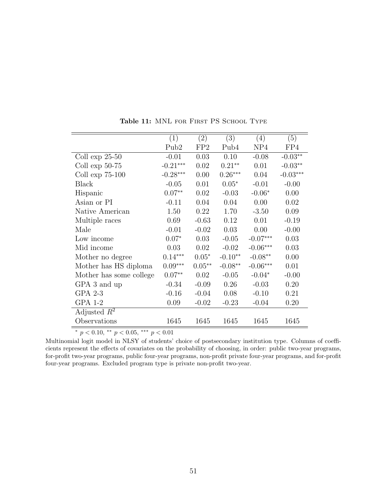<span id="page-51-0"></span>

|                         | (1)              | (2)             | (3)       | (4)                | (5)        |
|-------------------------|------------------|-----------------|-----------|--------------------|------------|
|                         | Pub <sub>2</sub> | FP <sub>2</sub> | Pub4      | NP4                | FP4        |
| Coll $\exp 25-50$       | $-0.01$          | 0.03            | 0.10      | $-0.08$            | $-0.03**$  |
| Coll $\exp 50-75$       | $-0.21***$       | 0.02            | $0.21**$  | 0.01               | $-0.03**$  |
| Coll $\exp$ 75-100      | $-0.28***$       | 0.00            | $0.26***$ | 0.04               | $-0.03***$ |
| <b>Black</b>            | $-0.05$          | 0.01            | $0.05*$   | $-0.01$            | $-0.00$    |
| Hispanic                | $0.07**$         | 0.02            | $-0.03$   | $-0.06*$           | 0.00       |
| Asian or PI             | $-0.11$          | 0.04            | 0.04      | 0.00               | 0.02       |
| Native American         | 1.50             | 0.22            | 1.70      | $-3.50$            | 0.09       |
| Multiple races          | 0.69             | $-0.63$         | 0.12      | 0.01               | $-0.19$    |
| Male                    | $-0.01$          | $-0.02$         | 0.03      | 0.00               | $-0.00$    |
| Low income              | $0.07*$          | 0.03            | $-0.05$   | $-0.07***$         | 0.03       |
| Mid income              | 0.03             | 0.02            | $-0.02$   | $-0.06***$         | 0.03       |
| Mother no degree        | $0.14***$        | $0.05*$         | $-0.10**$ | $-0.08^{\ast\ast}$ | 0.00       |
| Mother has HS diploma   | $0.09***$        | $0.05**$        | $-0.08**$ | $-0.06***$         | 0.01       |
| Mother has some college | $0.07**$         | 0.02            | $-0.05$   | $-0.04*$           | $-0.00$    |
| GPA 3 and up            | $-0.34$          | $-0.09$         | 0.26      | $-0.03$            | 0.20       |
| GPA 2-3                 | $-0.16$          | $-0.04$         | 0.08      | $-0.10$            | 0.21       |
| GPA 1-2                 | 0.09             | $-0.02$         | $-0.23$   | $-0.04$            | 0.20       |
| Adjusted $R^2$          |                  |                 |           |                    |            |
| Observations            | 1645             | 1645            | 1645      | 1645               | 1645       |

Table 11: MNL FOR FIRST PS SCHOOL TYPE

\*  $p < 0.10,$  \*\*  $p < 0.05,$  \*\*\*  $p < 0.01$ 

Multinomial logit model in NLSY of students' choice of postsecondary institution type. Columns of coefficients represent the effects of covariates on the probability of choosing, in order: public two-year programs, for-profit two-year programs, public four-year programs, non-profit private four-year programs, and for-profit four-year programs. Excluded program type is private non-profit two-year.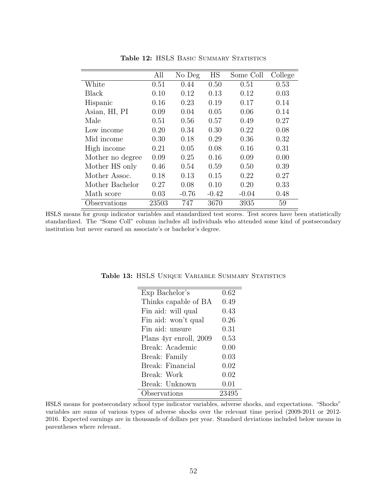<span id="page-52-0"></span>

|                  | All   | No Deg  | <b>HS</b> | Some Coll | College |
|------------------|-------|---------|-----------|-----------|---------|
| White            | 0.51  | 0.44    | 0.50      | 0.51      | 0.53    |
| Black            | 0.10  | 0.12    | 0.13      | 0.12      | 0.03    |
| Hispanic         | 0.16  | 0.23    | 0.19      | 0.17      | 0.14    |
| Asian, HI, PI    | 0.09  | 0.04    | 0.05      | 0.06      | 0.14    |
| Male             | 0.51  | 0.56    | 0.57      | 0.49      | 0.27    |
| Low income       | 0.20  | 0.34    | 0.30      | 0.22      | 0.08    |
| Mid income       | 0.30  | 0.18    | 0.29      | 0.36      | 0.32    |
| High income      | 0.21  | 0.05    | 0.08      | 0.16      | 0.31    |
| Mother no degree | 0.09  | 0.25    | 0.16      | 0.09      | 0.00    |
| Mother HS only   | 0.46  | 0.54    | 0.59      | 0.50      | 0.39    |
| Mother Assoc.    | 0.18  | 0.13    | 0.15      | 0.22      | 0.27    |
| Mother Bachelor  | 0.27  | 0.08    | 0.10      | 0.20      | 0.33    |
| Math score       | 0.03  | $-0.76$ | $-0.42$   | $-0.04$   | 0.48    |
| Observations     | 23503 | 747     | 3670      | 3935      | 59      |

Table 12: HSLS BASIC SUMMARY STATISTICS

HSLS means for group indicator variables and standardized test scores. Test scores have been statistically standardized. The "Some Coll" column includes all individuals who attended some kind of postsecondary institution but never earned an associate's or bachelor's degree.

| Exp Bachelor's         | 0.62  |
|------------------------|-------|
| Thinks capable of BA   | 0.49  |
| Fin aid: will qual     | 0.43  |
| Fin aid: won't qual    | 0.26  |
| Fin aid: unsure        | 0.31  |
| Plans 4yr enroll, 2009 | 0.53  |
| Break: Academic        | 0.00  |
| Break: Family          | 0.03  |
| Break: Financial       | 0.02  |
| Break: Work            | 0.02  |
| Break: Unknown         | 0.01  |
| Observations           | 23495 |
|                        |       |

<span id="page-52-1"></span>Table 13: HSLS UNIQUE VARIABLE SUMMARY STATISTICS

HSLS means for postsecondary school type indicator variables, adverse shocks, and expectations. "Shocks" variables are sums of various types of adverse shocks over the relevant time period (2009-2011 or 2012- 2016. Expected earnings are in thousands of dollars per year. Standard deviations included below means in parentheses where relevant.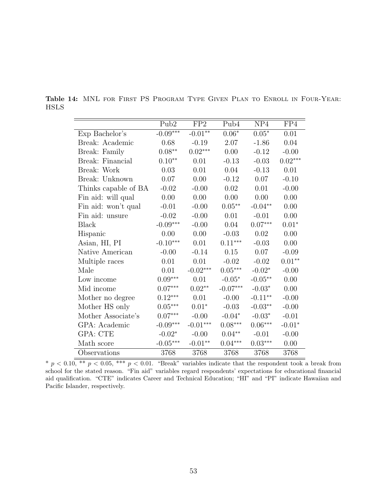|                      | Pub <sub>2</sub>           | FP2                        | Pub4                  | NP4                 | FP4       |
|----------------------|----------------------------|----------------------------|-----------------------|---------------------|-----------|
| Exp Bachelor's       | $-0.09***$                 | $-0.01**$                  | $0.06*$               | $0.05*$             | 0.01      |
| Break: Academic      | 0.68                       | $-0.19$                    | 2.07                  | $-1.86$             | 0.04      |
| Break: Family        | $0.08**$                   | $0.02***$                  | 0.00                  | $-0.12$             | $-0.00$   |
| Break: Financial     | $0.10**$                   | 0.01                       | $-0.13$               | $-0.03$             | $0.02***$ |
| Break: Work          | 0.03                       | 0.01                       | 0.04                  | $-0.13$             | 0.01      |
| Break: Unknown       | $0.07\,$                   | 0.00                       | $-0.12$               | 0.07                | $-0.10$   |
| Thinks capable of BA | $-0.02$                    | $-0.00$                    | 0.02                  | 0.01                | $-0.00$   |
| Fin aid: will qual   | 0.00                       | 0.00                       | 0.00                  | 0.00                | 0.00      |
| Fin aid: won't qual  | $-0.01$                    | $-0.00$                    | $0.05^{\ast\ast}$     | $-0.04**$           | 0.00      |
| Fin aid: unsure      | $-0.02$                    | $-0.00$                    | 0.01                  | $-0.01$             | 0.00      |
| <b>Black</b>         | $\textnormal{-}0.09^{***}$ | $-0.00$                    | 0.04                  | $0.07***$           | $0.01*$   |
| Hispanic             | 0.00                       | 0.00                       | $-0.03$               | 0.02                | 0.00      |
| Asian, HI, PI        | $-0.10***$                 | 0.01                       | $0.11***$             | $-0.03$             | 0.00      |
| Native American      | $-0.00$                    | $-0.14$                    | 0.15                  | 0.07                | $-0.09$   |
| Multiple races       | 0.01                       | 0.01                       | $-0.02$               | $-0.02$             | $0.01**$  |
| Male                 | 0.01                       | $\textnormal{-}0.02^{***}$ | $0.05^{\ast\ast\ast}$ | $-0.02*$            | $-0.00$   |
| Low income           | $0.09***$                  | 0.01                       | $-0.05*$              | $-0.05**$           | 0.00      |
| Mid income           | $0.07^{\ast\ast\ast}$      | $0.02**$                   | $-0.07***$            | $-0.03*$            | 0.00      |
| Mother no degree     | $0.12***$                  | 0.01                       | $-0.00$               | $\text{-}0.11^{**}$ | $-0.00$   |
| Mother HS only       | $0.05^{\ast\ast\ast}$      | $0.01^{\ast}$              | $-0.03$               | $-0.03**$           | $-0.00$   |
| Mother Associate's   | $0.07***$                  | $-0.00$                    | $-0.04*$              | $-0.03*$            | $-0.01$   |
| GPA: Academic        | $\textnormal{-}0.09^{***}$ | $-0.01***$                 | $0.08***$             | $0.06***$           | $-0.01*$  |
| GPA: CTE             | $-0.02*$                   | $-0.00$                    | $0.04**$              | $-0.01$             | $-0.00$   |
| Math score           | $-0.05***$                 | $-0.01**$                  | $0.04***$             | $0.03^{***}\,$      | 0.00      |
| Observations         | 3768                       | 3768                       | 3768                  | 3768                | 3768      |

Table 14: MNL FOR FIRST PS PROGRAM TYPE GIVEN PLAN TO ENROLL IN FOUR-YEAR: HSLS

\*  $p < 0.10$ , \*\*  $p < 0.05$ , \*\*\*  $p < 0.01$ . "Break" variables indicate that the respondent took a break from school for the stated reason. "Fin aid" variables regard respondents' expectations for educational financial aid qualification. "CTE" indicates Career and Technical Education; "HI" and "PI" indicate Hawaiian and Pacific Islander, respectively.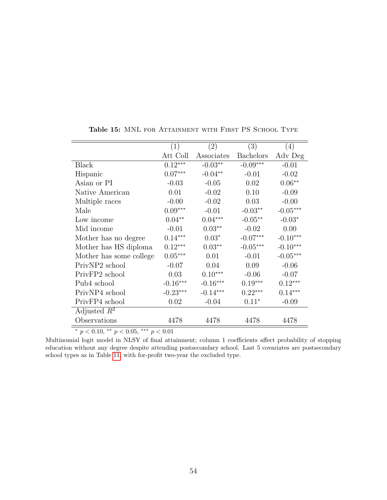<span id="page-54-0"></span>

|                         | (1)        | (2)        | (3)              | (4)        |
|-------------------------|------------|------------|------------------|------------|
|                         | Att Coll   | Associates | <b>Bachelors</b> | Adv Deg    |
| <b>Black</b>            | $0.12***$  | $-0.03**$  | $-0.09***$       | $-0.01$    |
| Hispanic                | $0.07***$  | $-0.04**$  | $-0.01$          | $-0.02$    |
| Asian or PI             | $-0.03$    | $-0.05$    | 0.02             | $0.06**$   |
| Native American         | 0.01       | $-0.02$    | 0.10             | $-0.09$    |
| Multiple races          | $-0.00$    | $-0.02$    | 0.03             | $-0.00$    |
| Male                    | $0.09***$  | $-0.01$    | $-0.03**$        | $-0.05***$ |
| Low income              | $0.04**$   | $0.04***$  | $-0.05**$        | $-0.03*$   |
| Mid income              | $-0.01$    | $0.03**$   | $-0.02$          | 0.00       |
| Mother has no degree    | $0.14***$  | $0.03*$    | $-0.07***$       | $-0.10***$ |
| Mother has HS diploma   | $0.12***$  | $0.03**$   | $-0.05***$       | $-0.10***$ |
| Mother has some college | $0.05***$  | 0.01       | $-0.01$          | $-0.05***$ |
| PrivNP2 school          | $-0.07$    | 0.04       | 0.09             | $-0.06$    |
| PrivFP2 school          | 0.03       | $0.10***$  | $-0.06$          | $-0.07$    |
| Pub4 school             | $-0.16***$ | $-0.16***$ | $0.19***$        | $0.12***$  |
| PrivNP4 school          | $-0.23***$ | $-0.14***$ | $0.22***$        | $0.14***$  |
| PrivFP4 school          | 0.02       | $-0.04$    | $0.11*$          | $-0.09$    |
| Adjusted $R^2$          |            |            |                  |            |
| Observations            | 4478       | 4478       | 4478             | 4478       |

Table 15: MNL FOR ATTAINMENT WITH FIRST PS SCHOOL TYPE

 $^{*}$   $p$   $<$  0.10,  $^{**}$   $p$   $<$  0.05,  $^{***}$   $p$   $<$  0.01  $\,$ 

Multinomial logit model in NLSY of final attainment; column 1 coefficients affect probability of stopping education without any degree despite attending postsecondary school. Last 5 covariates are postsecondary school types as in Table [11,](#page-51-0) with for-profit two-year the excluded type.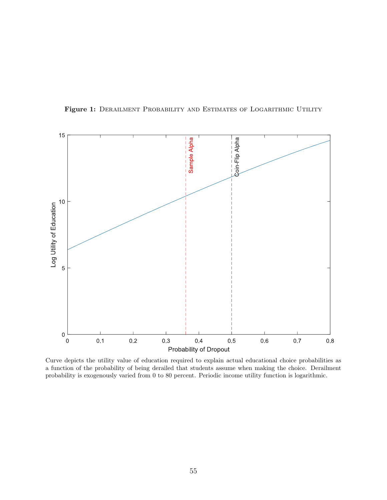

<span id="page-55-0"></span>Figure 1: DERAILMENT PROBABILITY AND ESTIMATES OF LOGARITHMIC UTILITY

Curve depicts the utility value of education required to explain actual educational choice probabilities as a function of the probability of being derailed that students assume when making the choice. Derailment probability is exogenously varied from 0 to 80 percent. Periodic income utility function is logarithmic.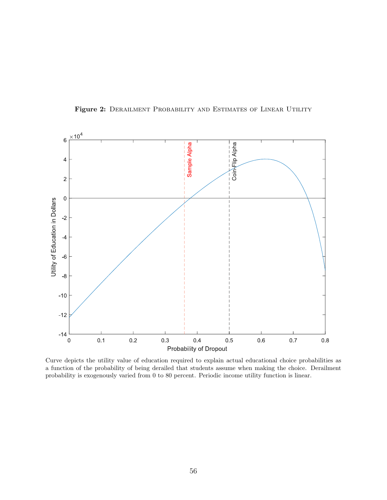<span id="page-56-0"></span>

Figure 2: DERAILMENT PROBABILITY AND ESTIMATES OF LINEAR UTILITY

Curve depicts the utility value of education required to explain actual educational choice probabilities as a function of the probability of being derailed that students assume when making the choice. Derailment probability is exogenously varied from 0 to 80 percent. Periodic income utility function is linear.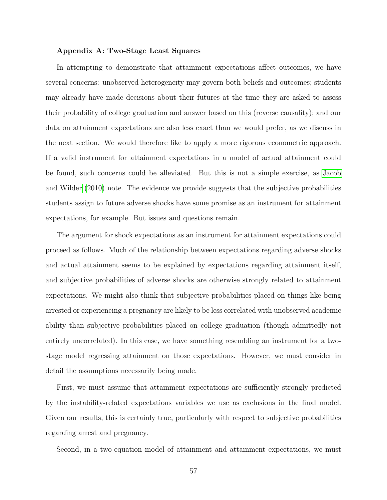#### Appendix A: Two-Stage Least Squares

In attempting to demonstrate that attainment expectations affect outcomes, we have several concerns: unobserved heterogeneity may govern both beliefs and outcomes; students may already have made decisions about their futures at the time they are asked to assess their probability of college graduation and answer based on this (reverse causality); and our data on attainment expectations are also less exact than we would prefer, as we discuss in the next section. We would therefore like to apply a more rigorous econometric approach. If a valid instrument for attainment expectations in a model of actual attainment could be found, such concerns could be alleviated. But this is not a simple exercise, as [Jacob](#page-40-6) [and Wilder](#page-40-6) [\(2010\)](#page-40-6) note. The evidence we provide suggests that the subjective probabilities students assign to future adverse shocks have some promise as an instrument for attainment expectations, for example. But issues and questions remain.

The argument for shock expectations as an instrument for attainment expectations could proceed as follows. Much of the relationship between expectations regarding adverse shocks and actual attainment seems to be explained by expectations regarding attainment itself, and subjective probabilities of adverse shocks are otherwise strongly related to attainment expectations. We might also think that subjective probabilities placed on things like being arrested or experiencing a pregnancy are likely to be less correlated with unobserved academic ability than subjective probabilities placed on college graduation (though admittedly not entirely uncorrelated). In this case, we have something resembling an instrument for a twostage model regressing attainment on those expectations. However, we must consider in detail the assumptions necessarily being made.

First, we must assume that attainment expectations are sufficiently strongly predicted by the instability-related expectations variables we use as exclusions in the final model. Given our results, this is certainly true, particularly with respect to subjective probabilities regarding arrest and pregnancy.

Second, in a two-equation model of attainment and attainment expectations, we must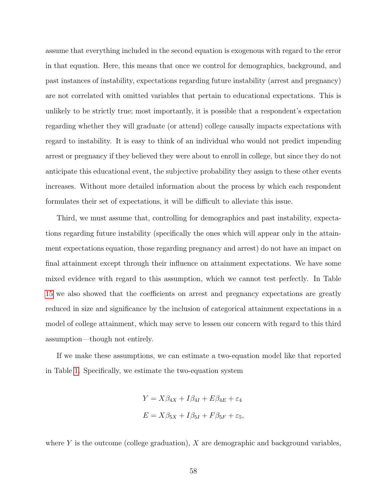assume that everything included in the second equation is exogenous with regard to the error in that equation. Here, this means that once we control for demographics, background, and past instances of instability, expectations regarding future instability (arrest and pregnancy) are not correlated with omitted variables that pertain to educational expectations. This is unlikely to be strictly true; most importantly, it is possible that a respondent's expectation regarding whether they will graduate (or attend) college causally impacts expectations with regard to instability. It is easy to think of an individual who would not predict impending arrest or pregnancy if they believed they were about to enroll in college, but since they do not anticipate this educational event, the subjective probability they assign to these other events increases. Without more detailed information about the process by which each respondent formulates their set of expectations, it will be difficult to alleviate this issue.

Third, we must assume that, controlling for demographics and past instability, expectations regarding future instability (specifically the ones which will appear only in the attainment expectations equation, those regarding pregnancy and arrest) do not have an impact on final attainment except through their influence on attainment expectations. We have some mixed evidence with regard to this assumption, which we cannot test perfectly. In Table [15](#page-54-0) we also showed that the coefficients on arrest and pregnancy expectations are greatly reduced in size and significance by the inclusion of categorical attainment expectations in a model of college attainment, which may serve to lessen our concern with regard to this third assumption—though not entirely.

If we make these assumptions, we can estimate a two-equation model like that reported in Table [1.](#page-60-0) Specifically, we estimate the two-equation system

$$
Y = X\beta_{4X} + I\beta_{4I} + E\beta_{4E} + \varepsilon_4
$$

$$
E = X\beta_{5X} + I\beta_{5I} + F\beta_{5F} + \varepsilon_5,
$$

where  $Y$  is the outcome (college graduation),  $X$  are demographic and background variables,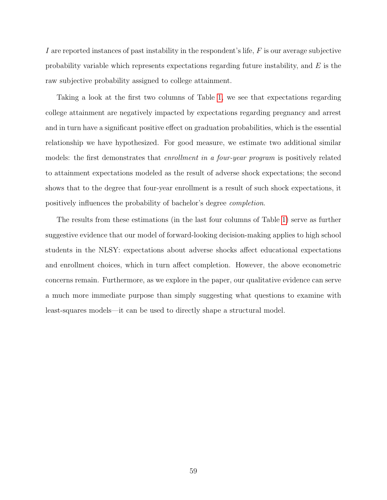I are reported instances of past instability in the respondent's life, F is our average subjective probability variable which represents expectations regarding future instability, and  $E$  is the raw subjective probability assigned to college attainment.

Taking a look at the first two columns of Table [1,](#page-60-0) we see that expectations regarding college attainment are negatively impacted by expectations regarding pregnancy and arrest and in turn have a significant positive effect on graduation probabilities, which is the essential relationship we have hypothesized. For good measure, we estimate two additional similar models: the first demonstrates that enrollment in a four-year program is positively related to attainment expectations modeled as the result of adverse shock expectations; the second shows that to the degree that four-year enrollment is a result of such shock expectations, it positively influences the probability of bachelor's degree completion.

The results from these estimations (in the last four columns of Table [1\)](#page-60-0) serve as further suggestive evidence that our model of forward-looking decision-making applies to high school students in the NLSY: expectations about adverse shocks affect educational expectations and enrollment choices, which in turn affect completion. However, the above econometric concerns remain. Furthermore, as we explore in the paper, our qualitative evidence can serve a much more immediate purpose than simply suggesting what questions to examine with least-squares models—it can be used to directly shape a structural model.